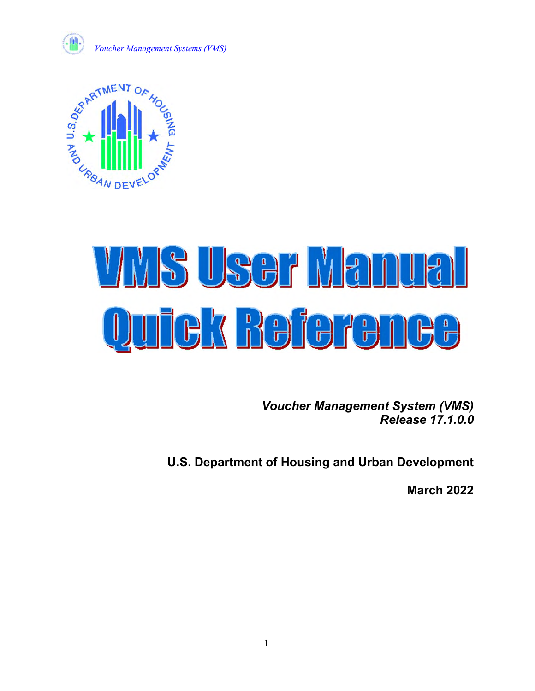



# <u>VAIS USEF Manue</u> Quick Beference

*Voucher Management System (VMS) Release 17.1.0.0* 

**U.S. Department of Housing and Urban Development** 

**March 2022**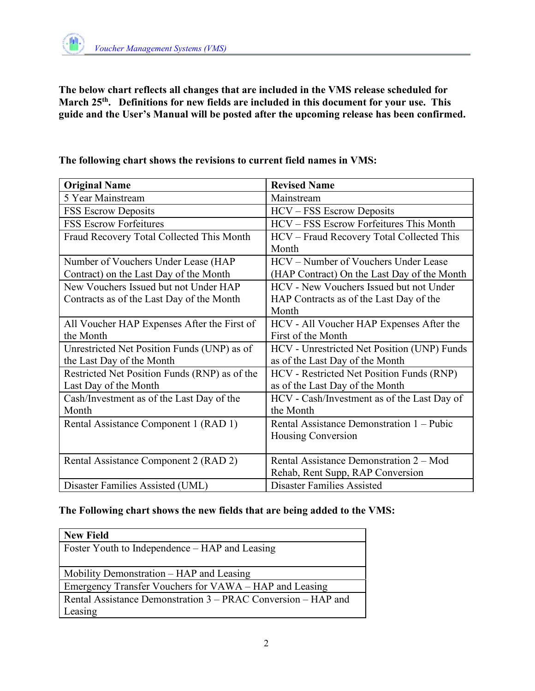

**The below chart reflects all changes that are included in the VMS release scheduled for March 25th. Definitions for new fields are included in this document for your use. This guide and the User's Manual will be posted after the upcoming release has been confirmed.** 

| <b>Original Name</b>                          | <b>Revised Name</b>                         |  |  |
|-----------------------------------------------|---------------------------------------------|--|--|
| 5 Year Mainstream                             | Mainstream                                  |  |  |
| <b>FSS Escrow Deposits</b>                    | HCV - FSS Escrow Deposits                   |  |  |
| <b>FSS Escrow Forfeitures</b>                 | HCV - FSS Escrow Forfeitures This Month     |  |  |
| Fraud Recovery Total Collected This Month     | HCV - Fraud Recovery Total Collected This   |  |  |
|                                               | Month                                       |  |  |
| Number of Vouchers Under Lease (HAP           | HCV – Number of Vouchers Under Lease        |  |  |
| Contract) on the Last Day of the Month        | (HAP Contract) On the Last Day of the Month |  |  |
| New Vouchers Issued but not Under HAP         | HCV - New Vouchers Issued but not Under     |  |  |
| Contracts as of the Last Day of the Month     | HAP Contracts as of the Last Day of the     |  |  |
|                                               | Month                                       |  |  |
| All Voucher HAP Expenses After the First of   | HCV - All Voucher HAP Expenses After the    |  |  |
| the Month                                     | First of the Month                          |  |  |
| Unrestricted Net Position Funds (UNP) as of   | HCV - Unrestricted Net Position (UNP) Funds |  |  |
| the Last Day of the Month                     | as of the Last Day of the Month             |  |  |
| Restricted Net Position Funds (RNP) as of the | HCV - Restricted Net Position Funds (RNP)   |  |  |
| Last Day of the Month                         | as of the Last Day of the Month             |  |  |
| Cash/Investment as of the Last Day of the     | HCV - Cash/Investment as of the Last Day of |  |  |
| Month                                         | the Month                                   |  |  |
| Rental Assistance Component 1 (RAD 1)         | Rental Assistance Demonstration 1 – Pubic   |  |  |
|                                               | Housing Conversion                          |  |  |
|                                               |                                             |  |  |
| Rental Assistance Component 2 (RAD 2)         | Rental Assistance Demonstration 2 – Mod     |  |  |
|                                               | Rehab, Rent Supp, RAP Conversion            |  |  |
| Disaster Families Assisted (UML)              | <b>Disaster Families Assisted</b>           |  |  |

**The following chart shows the revisions to current field names in VMS:** 

## **The Following chart shows the new fields that are being added to the VMS:**

| <b>New Field</b>                                              |
|---------------------------------------------------------------|
| Foster Youth to Independence – HAP and Leasing                |
|                                                               |
| Mobility Demonstration – HAP and Leasing                      |
| Emergency Transfer Vouchers for VAWA – HAP and Leasing        |
| Rental Assistance Demonstration 3 – PRAC Conversion – HAP and |
| Leasing                                                       |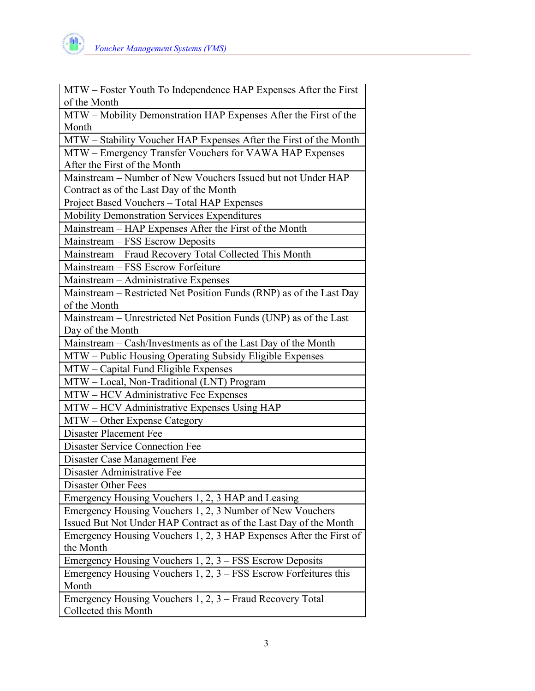

| MTW – Foster Youth To Independence HAP Expenses After the First                                          |
|----------------------------------------------------------------------------------------------------------|
| of the Month                                                                                             |
| MTW - Mobility Demonstration HAP Expenses After the First of the                                         |
| Month                                                                                                    |
| MTW - Stability Voucher HAP Expenses After the First of the Month                                        |
| MTW - Emergency Transfer Vouchers for VAWA HAP Expenses                                                  |
| After the First of the Month                                                                             |
| Mainstream - Number of New Vouchers Issued but not Under HAP<br>Contract as of the Last Day of the Month |
| Project Based Vouchers - Total HAP Expenses                                                              |
| Mobility Demonstration Services Expenditures                                                             |
| Mainstream - HAP Expenses After the First of the Month                                                   |
| Mainstream - FSS Escrow Deposits                                                                         |
|                                                                                                          |
| Mainstream - Fraud Recovery Total Collected This Month                                                   |
| Mainstream - FSS Escrow Forfeiture                                                                       |
| Mainstream - Administrative Expenses                                                                     |
| Mainstream - Restricted Net Position Funds (RNP) as of the Last Day                                      |
| of the Month                                                                                             |
| Mainstream - Unrestricted Net Position Funds (UNP) as of the Last                                        |
| Day of the Month                                                                                         |
| Mainstream – Cash/Investments as of the Last Day of the Month                                            |
| MTW – Public Housing Operating Subsidy Eligible Expenses                                                 |
| MTW - Capital Fund Eligible Expenses                                                                     |
| MTW - Local, Non-Traditional (LNT) Program                                                               |
| MTW - HCV Administrative Fee Expenses                                                                    |
| MTW - HCV Administrative Expenses Using HAP                                                              |
| MTW - Other Expense Category                                                                             |
| <b>Disaster Placement Fee</b>                                                                            |
| <b>Disaster Service Connection Fee</b>                                                                   |
| Disaster Case Management Fee                                                                             |
| Disaster Administrative Fee                                                                              |
| Disaster Other Fees                                                                                      |
| Emergency Housing Vouchers 1, 2, 3 HAP and Leasing                                                       |
| Emergency Housing Vouchers 1, 2, 3 Number of New Vouchers                                                |
| Issued But Not Under HAP Contract as of the Last Day of the Month                                        |
| Emergency Housing Vouchers 1, 2, 3 HAP Expenses After the First of                                       |
| the Month                                                                                                |
| Emergency Housing Vouchers 1, 2, 3 - FSS Escrow Deposits                                                 |
| Emergency Housing Vouchers $1, 2, 3$ – FSS Escrow Forfeitures this                                       |
| Month                                                                                                    |
| Emergency Housing Vouchers 1, 2, 3 - Fraud Recovery Total                                                |
| Collected this Month                                                                                     |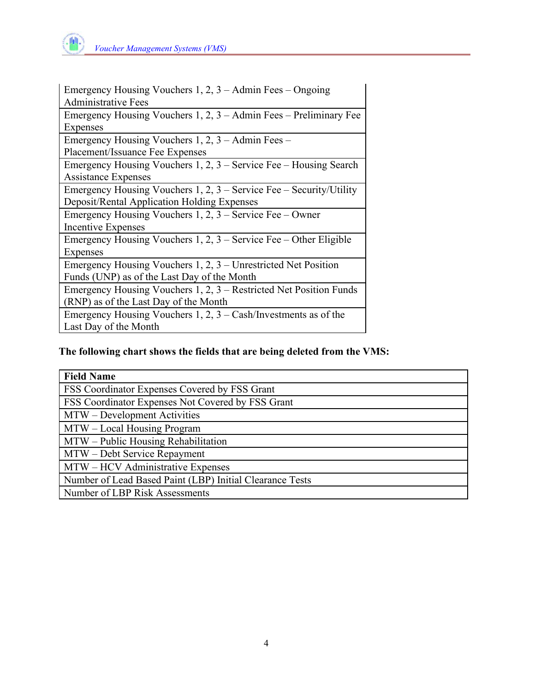

| Emergency Housing Vouchers $1, 2, 3 -$ Admin Fees – Ongoing            |
|------------------------------------------------------------------------|
| <b>Administrative Fees</b>                                             |
| Emergency Housing Vouchers 1, $2$ , $3 -$ Admin Fees – Preliminary Fee |
| Expenses                                                               |
| Emergency Housing Vouchers 1, 2, 3 – Admin Fees –                      |
| Placement/Issuance Fee Expenses                                        |
| Emergency Housing Vouchers $1, 2, 3$ – Service Fee – Housing Search    |
| <b>Assistance Expenses</b>                                             |
| Emergency Housing Vouchers 1, 2, $3$ – Service Fee – Security/Utility  |
| Deposit/Rental Application Holding Expenses                            |
| Emergency Housing Vouchers $1, 2, 3$ – Service Fee – Owner             |
| Incentive Expenses                                                     |
| Emergency Housing Vouchers 1, 2, $3$ – Service Fee – Other Eligible    |
| Expenses                                                               |
| Emergency Housing Vouchers $1, 2, 3$ – Unrestricted Net Position       |
| Funds (UNP) as of the Last Day of the Month                            |
| Emergency Housing Vouchers 1, 2, 3 – Restricted Net Position Funds     |
| (RNP) as of the Last Day of the Month                                  |
| Emergency Housing Vouchers 1, 2, $3 - Cash/Investments$ as of the      |
| Last Day of the Month                                                  |

## **The following chart shows the fields that are being deleted from the VMS:**

| <b>Field Name</b>                                        |
|----------------------------------------------------------|
| FSS Coordinator Expenses Covered by FSS Grant            |
| FSS Coordinator Expenses Not Covered by FSS Grant        |
| MTW – Development Activities                             |
| MTW – Local Housing Program                              |
| MTW – Public Housing Rehabilitation                      |
| MTW – Debt Service Repayment                             |
| MTW – HCV Administrative Expenses                        |
| Number of Lead Based Paint (LBP) Initial Clearance Tests |
| Number of LBP Risk Assessments                           |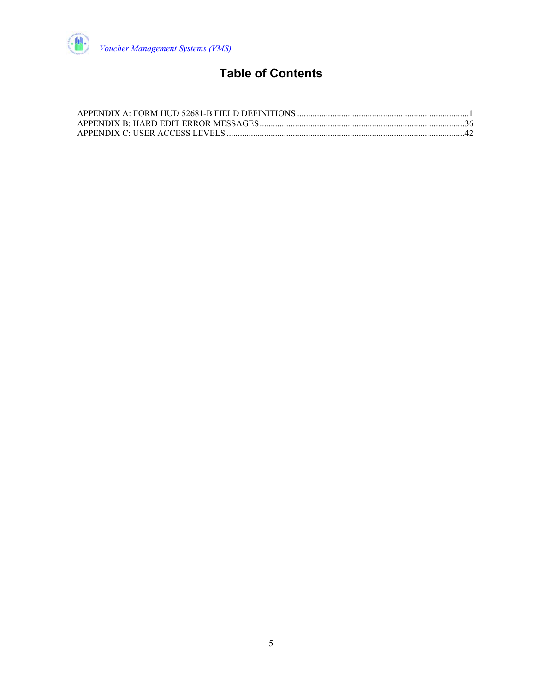

# **Table of Contents**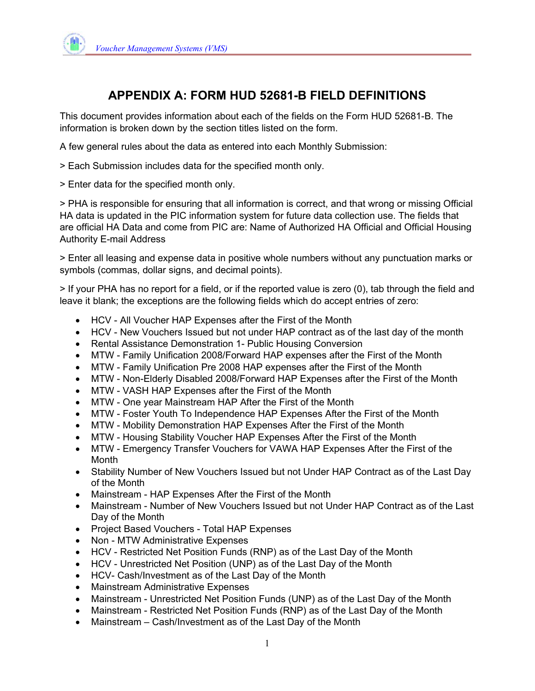

## **APPENDIX A: FORM HUD 52681-B FIELD DEFINITIONS**

This document provides information about each of the fields on the Form HUD 52681-B. The information is broken down by the section titles listed on the form.

A few general rules about the data as entered into each Monthly Submission:

- > Each Submission includes data for the specified month only.
- > Enter data for the specified month only.

> PHA is responsible for ensuring that all information is correct, and that wrong or missing Official HA data is updated in the PIC information system for future data collection use. The fields that are official HA Data and come from PIC are: Name of Authorized HA Official and Official Housing Authority E-mail Address

> Enter all leasing and expense data in positive whole numbers without any punctuation marks or symbols (commas, dollar signs, and decimal points).

> If your PHA has no report for a field, or if the reported value is zero (0), tab through the field and leave it blank; the exceptions are the following fields which do accept entries of zero:

- HCV All Voucher HAP Expenses after the First of the Month
- HCV New Vouchers Issued but not under HAP contract as of the last day of the month
- Rental Assistance Demonstration 1- Public Housing Conversion
- MTW Family Unification 2008/Forward HAP expenses after the First of the Month
- MTW Family Unification Pre 2008 HAP expenses after the First of the Month
- MTW Non-Elderly Disabled 2008/Forward HAP Expenses after the First of the Month
- MTW VASH HAP Expenses after the First of the Month
- MTW One year Mainstream HAP After the First of the Month
- MTW Foster Youth To Independence HAP Expenses After the First of the Month
- MTW Mobility Demonstration HAP Expenses After the First of the Month
- MTW Housing Stability Voucher HAP Expenses After the First of the Month
- MTW Emergency Transfer Vouchers for VAWA HAP Expenses After the First of the Month
- Stability Number of New Vouchers Issued but not Under HAP Contract as of the Last Day of the Month
- Mainstream HAP Expenses After the First of the Month
- Mainstream Number of New Vouchers Issued but not Under HAP Contract as of the Last Day of the Month
- Project Based Vouchers Total HAP Expenses
- Non MTW Administrative Expenses
- HCV Restricted Net Position Funds (RNP) as of the Last Day of the Month
- HCV Unrestricted Net Position (UNP) as of the Last Day of the Month
- HCV- Cash/Investment as of the Last Day of the Month
- Mainstream Administrative Expenses
- Mainstream Unrestricted Net Position Funds (UNP) as of the Last Day of the Month
- Mainstream Restricted Net Position Funds (RNP) as of the Last Day of the Month
- Mainstream Cash/Investment as of the Last Day of the Month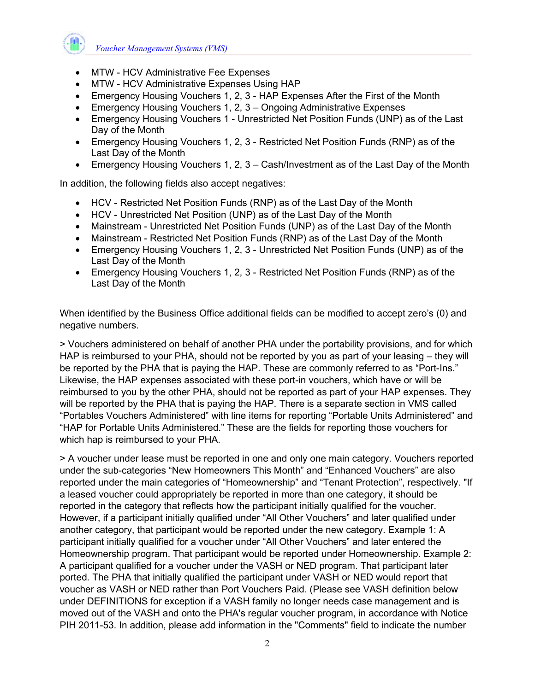

- MTW HCV Administrative Fee Expenses
- MTW HCV Administrative Expenses Using HAP
- Emergency Housing Vouchers 1, 2, 3 HAP Expenses After the First of the Month
- Emergency Housing Vouchers 1, 2, 3 Ongoing Administrative Expenses
- Emergency Housing Vouchers 1 Unrestricted Net Position Funds (UNP) as of the Last Day of the Month
- Emergency Housing Vouchers 1, 2, 3 Restricted Net Position Funds (RNP) as of the Last Day of the Month
- Emergency Housing Vouchers 1, 2, 3 Cash/Investment as of the Last Day of the Month

In addition, the following fields also accept negatives:

- HCV Restricted Net Position Funds (RNP) as of the Last Day of the Month
- HCV Unrestricted Net Position (UNP) as of the Last Day of the Month
- Mainstream Unrestricted Net Position Funds (UNP) as of the Last Day of the Month
- Mainstream Restricted Net Position Funds (RNP) as of the Last Day of the Month
- Emergency Housing Vouchers 1, 2, 3 Unrestricted Net Position Funds (UNP) as of the Last Day of the Month
- Emergency Housing Vouchers 1, 2, 3 Restricted Net Position Funds (RNP) as of the Last Day of the Month

When identified by the Business Office additional fields can be modified to accept zero's (0) and negative numbers.

> Vouchers administered on behalf of another PHA under the portability provisions, and for which HAP is reimbursed to your PHA, should not be reported by you as part of your leasing – they will be reported by the PHA that is paying the HAP. These are commonly referred to as "Port-Ins." Likewise, the HAP expenses associated with these port-in vouchers, which have or will be reimbursed to you by the other PHA, should not be reported as part of your HAP expenses. They will be reported by the PHA that is paying the HAP. There is a separate section in VMS called "Portables Vouchers Administered" with line items for reporting "Portable Units Administered" and "HAP for Portable Units Administered." These are the fields for reporting those vouchers for which hap is reimbursed to your PHA.

> A voucher under lease must be reported in one and only one main category. Vouchers reported under the sub-categories "New Homeowners This Month" and "Enhanced Vouchers" are also reported under the main categories of "Homeownership" and "Tenant Protection", respectively. "If a leased voucher could appropriately be reported in more than one category, it should be reported in the category that reflects how the participant initially qualified for the voucher. However, if a participant initially qualified under "All Other Vouchers" and later qualified under another category, that participant would be reported under the new category. Example 1: A participant initially qualified for a voucher under "All Other Vouchers" and later entered the Homeownership program. That participant would be reported under Homeownership. Example 2: A participant qualified for a voucher under the VASH or NED program. That participant later ported. The PHA that initially qualified the participant under VASH or NED would report that voucher as VASH or NED rather than Port Vouchers Paid. (Please see VASH definition below under DEFINITIONS for exception if a VASH family no longer needs case management and is moved out of the VASH and onto the PHA's regular voucher program, in accordance with Notice PIH 2011-53. In addition, please add information in the "Comments" field to indicate the number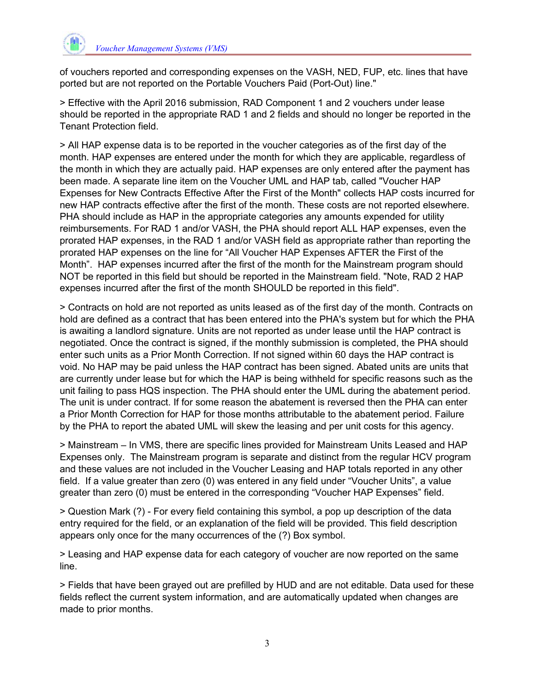

of vouchers reported and corresponding expenses on the VASH, NED, FUP, etc. lines that have ported but are not reported on the Portable Vouchers Paid (Port-Out) line."

> Effective with the April 2016 submission, RAD Component 1 and 2 vouchers under lease should be reported in the appropriate RAD 1 and 2 fields and should no longer be reported in the Tenant Protection field.

> All HAP expense data is to be reported in the voucher categories as of the first day of the month. HAP expenses are entered under the month for which they are applicable, regardless of the month in which they are actually paid. HAP expenses are only entered after the payment has been made. A separate line item on the Voucher UML and HAP tab, called "Voucher HAP Expenses for New Contracts Effective After the First of the Month" collects HAP costs incurred for new HAP contracts effective after the first of the month. These costs are not reported elsewhere. PHA should include as HAP in the appropriate categories any amounts expended for utility reimbursements. For RAD 1 and/or VASH, the PHA should report ALL HAP expenses, even the prorated HAP expenses, in the RAD 1 and/or VASH field as appropriate rather than reporting the prorated HAP expenses on the line for "All Voucher HAP Expenses AFTER the First of the Month". HAP expenses incurred after the first of the month for the Mainstream program should NOT be reported in this field but should be reported in the Mainstream field. "Note, RAD 2 HAP expenses incurred after the first of the month SHOULD be reported in this field".

> Contracts on hold are not reported as units leased as of the first day of the month. Contracts on hold are defined as a contract that has been entered into the PHA's system but for which the PHA is awaiting a landlord signature. Units are not reported as under lease until the HAP contract is negotiated. Once the contract is signed, if the monthly submission is completed, the PHA should enter such units as a Prior Month Correction. If not signed within 60 days the HAP contract is void. No HAP may be paid unless the HAP contract has been signed. Abated units are units that are currently under lease but for which the HAP is being withheld for specific reasons such as the unit failing to pass HQS inspection. The PHA should enter the UML during the abatement period. The unit is under contract. If for some reason the abatement is reversed then the PHA can enter a Prior Month Correction for HAP for those months attributable to the abatement period. Failure by the PHA to report the abated UML will skew the leasing and per unit costs for this agency.

> Mainstream – In VMS, there are specific lines provided for Mainstream Units Leased and HAP Expenses only. The Mainstream program is separate and distinct from the regular HCV program and these values are not included in the Voucher Leasing and HAP totals reported in any other field. If a value greater than zero (0) was entered in any field under "Voucher Units", a value greater than zero (0) must be entered in the corresponding "Voucher HAP Expenses" field.

> Question Mark (?) - For every field containing this symbol, a pop up description of the data entry required for the field, or an explanation of the field will be provided. This field description appears only once for the many occurrences of the (?) Box symbol.

> Leasing and HAP expense data for each category of voucher are now reported on the same line.

> Fields that have been grayed out are prefilled by HUD and are not editable. Data used for these fields reflect the current system information, and are automatically updated when changes are made to prior months.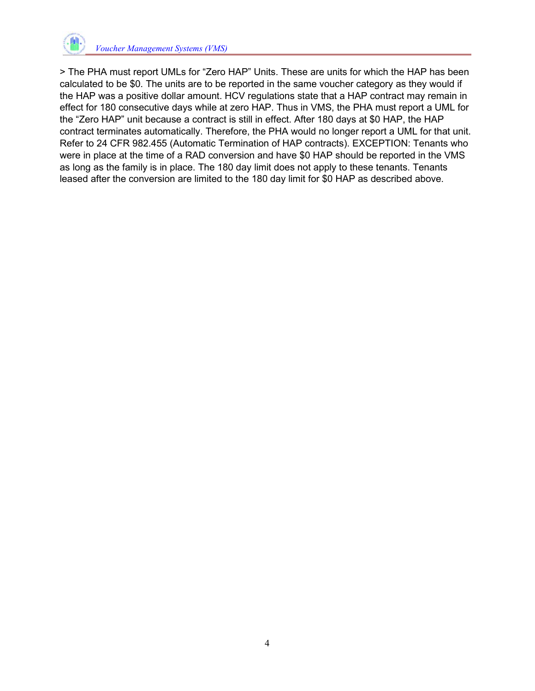

> The PHA must report UMLs for "Zero HAP" Units. These are units for which the HAP has been calculated to be \$0. The units are to be reported in the same voucher category as they would if the HAP was a positive dollar amount. HCV regulations state that a HAP contract may remain in effect for 180 consecutive days while at zero HAP. Thus in VMS, the PHA must report a UML for the "Zero HAP" unit because a contract is still in effect. After 180 days at \$0 HAP, the HAP contract terminates automatically. Therefore, the PHA would no longer report a UML for that unit. Refer to 24 CFR 982.455 (Automatic Termination of HAP contracts). EXCEPTION: Tenants who were in place at the time of a RAD conversion and have \$0 HAP should be reported in the VMS as long as the family is in place. The 180 day limit does not apply to these tenants. Tenants leased after the conversion are limited to the 180 day limit for \$0 HAP as described above.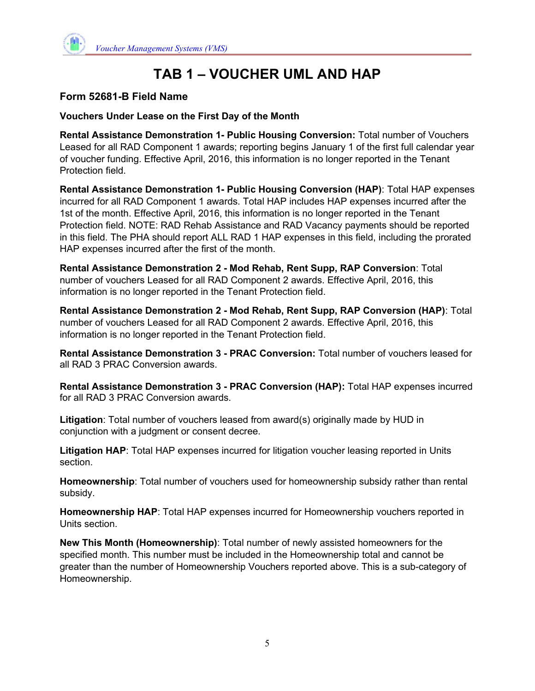

## **Form 52681-B Field Name**

**Vouchers Under Lease on the First Day of the Month** 

**Rental Assistance Demonstration 1- Public Housing Conversion:** Total number of Vouchers Leased for all RAD Component 1 awards; reporting begins January 1 of the first full calendar year of voucher funding. Effective April, 2016, this information is no longer reported in the Tenant Protection field.

**Rental Assistance Demonstration 1- Public Housing Conversion (HAP)**: Total HAP expenses incurred for all RAD Component 1 awards. Total HAP includes HAP expenses incurred after the 1st of the month. Effective April, 2016, this information is no longer reported in the Tenant Protection field. NOTE: RAD Rehab Assistance and RAD Vacancy payments should be reported in this field. The PHA should report ALL RAD 1 HAP expenses in this field, including the prorated HAP expenses incurred after the first of the month.

**Rental Assistance Demonstration 2 - Mod Rehab, Rent Supp, RAP Conversion**: Total number of vouchers Leased for all RAD Component 2 awards. Effective April, 2016, this information is no longer reported in the Tenant Protection field.

**Rental Assistance Demonstration 2 - Mod Rehab, Rent Supp, RAP Conversion (HAP)**: Total number of vouchers Leased for all RAD Component 2 awards. Effective April, 2016, this information is no longer reported in the Tenant Protection field.

**Rental Assistance Demonstration 3 - PRAC Conversion:** Total number of vouchers leased for all RAD 3 PRAC Conversion awards.

**Rental Assistance Demonstration 3 - PRAC Conversion (HAP):** Total HAP expenses incurred for all RAD 3 PRAC Conversion awards.

**Litigation**: Total number of vouchers leased from award(s) originally made by HUD in conjunction with a judgment or consent decree.

**Litigation HAP**: Total HAP expenses incurred for litigation voucher leasing reported in Units section.

**Homeownership**: Total number of vouchers used for homeownership subsidy rather than rental subsidy.

**Homeownership HAP**: Total HAP expenses incurred for Homeownership vouchers reported in Units section.

**New This Month (Homeownership)**: Total number of newly assisted homeowners for the specified month. This number must be included in the Homeownership total and cannot be greater than the number of Homeownership Vouchers reported above. This is a sub-category of Homeownership.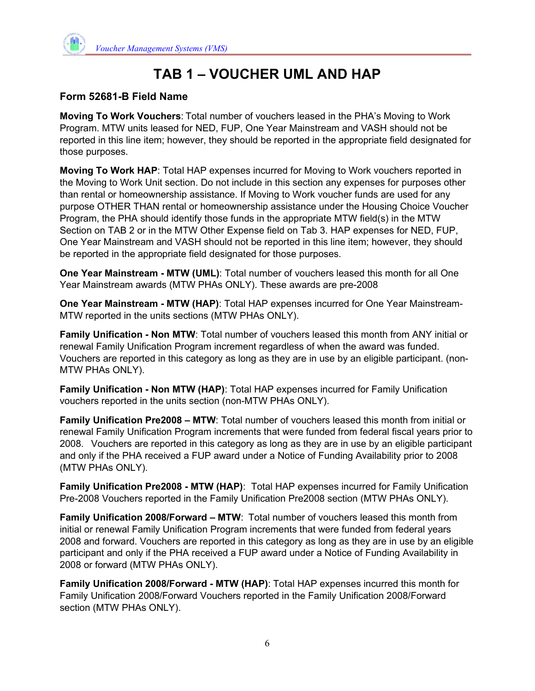

## **Form 52681-B Field Name**

**Moving To Work Vouchers**: Total number of vouchers leased in the PHA's Moving to Work Program. MTW units leased for NED, FUP, One Year Mainstream and VASH should not be reported in this line item; however, they should be reported in the appropriate field designated for those purposes.

**Moving To Work HAP**: Total HAP expenses incurred for Moving to Work vouchers reported in the Moving to Work Unit section. Do not include in this section any expenses for purposes other than rental or homeownership assistance. If Moving to Work voucher funds are used for any purpose OTHER THAN rental or homeownership assistance under the Housing Choice Voucher Program, the PHA should identify those funds in the appropriate MTW field(s) in the MTW Section on TAB 2 or in the MTW Other Expense field on Tab 3. HAP expenses for NED, FUP, One Year Mainstream and VASH should not be reported in this line item; however, they should be reported in the appropriate field designated for those purposes.

**One Year Mainstream - MTW (UML)**: Total number of vouchers leased this month for all One Year Mainstream awards (MTW PHAs ONLY). These awards are pre-2008

**One Year Mainstream - MTW (HAP)**: Total HAP expenses incurred for One Year Mainstream-MTW reported in the units sections (MTW PHAs ONLY).

**Family Unification - Non MTW**: Total number of vouchers leased this month from ANY initial or renewal Family Unification Program increment regardless of when the award was funded. Vouchers are reported in this category as long as they are in use by an eligible participant. (non-MTW PHAs ONLY).

**Family Unification - Non MTW (HAP)**: Total HAP expenses incurred for Family Unification vouchers reported in the units section (non-MTW PHAs ONLY).

**Family Unification Pre2008 – MTW**: Total number of vouchers leased this month from initial or renewal Family Unification Program increments that were funded from federal fiscal years prior to 2008. Vouchers are reported in this category as long as they are in use by an eligible participant and only if the PHA received a FUP award under a Notice of Funding Availability prior to 2008 (MTW PHAs ONLY).

**Family Unification Pre2008 - MTW (HAP)**: Total HAP expenses incurred for Family Unification Pre-2008 Vouchers reported in the Family Unification Pre2008 section (MTW PHAs ONLY).

**Family Unification 2008/Forward – MTW**: Total number of vouchers leased this month from initial or renewal Family Unification Program increments that were funded from federal years 2008 and forward. Vouchers are reported in this category as long as they are in use by an eligible participant and only if the PHA received a FUP award under a Notice of Funding Availability in 2008 or forward (MTW PHAs ONLY).

**Family Unification 2008/Forward - MTW (HAP)**: Total HAP expenses incurred this month for Family Unification 2008/Forward Vouchers reported in the Family Unification 2008/Forward section (MTW PHAs ONLY).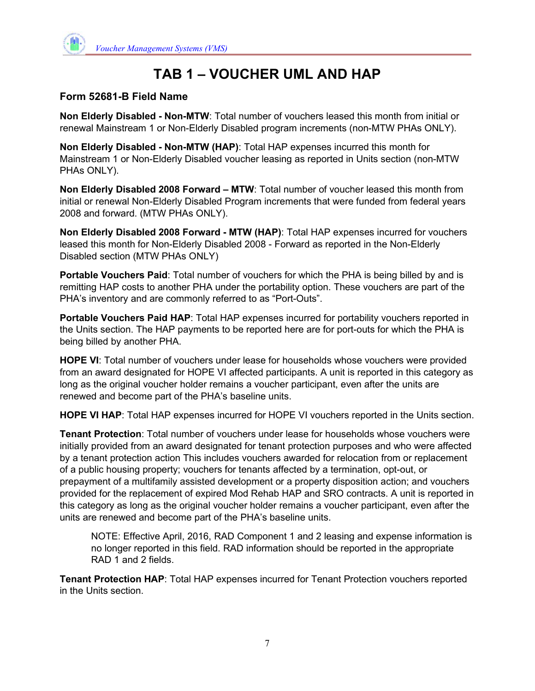

#### **Form 52681-B Field Name**

**Non Elderly Disabled - Non-MTW**: Total number of vouchers leased this month from initial or renewal Mainstream 1 or Non-Elderly Disabled program increments (non-MTW PHAs ONLY).

**Non Elderly Disabled - Non-MTW (HAP)**: Total HAP expenses incurred this month for Mainstream 1 or Non-Elderly Disabled voucher leasing as reported in Units section (non-MTW PHAs ONLY).

**Non Elderly Disabled 2008 Forward – MTW**: Total number of voucher leased this month from initial or renewal Non-Elderly Disabled Program increments that were funded from federal years 2008 and forward. (MTW PHAs ONLY).

**Non Elderly Disabled 2008 Forward - MTW (HAP)**: Total HAP expenses incurred for vouchers leased this month for Non-Elderly Disabled 2008 - Forward as reported in the Non-Elderly Disabled section (MTW PHAs ONLY)

**Portable Vouchers Paid**: Total number of vouchers for which the PHA is being billed by and is remitting HAP costs to another PHA under the portability option. These vouchers are part of the PHA's inventory and are commonly referred to as "Port-Outs".

**Portable Vouchers Paid HAP**: Total HAP expenses incurred for portability vouchers reported in the Units section. The HAP payments to be reported here are for port-outs for which the PHA is being billed by another PHA.

**HOPE VI**: Total number of vouchers under lease for households whose vouchers were provided from an award designated for HOPE VI affected participants. A unit is reported in this category as long as the original voucher holder remains a voucher participant, even after the units are renewed and become part of the PHA's baseline units.

**HOPE VI HAP**: Total HAP expenses incurred for HOPE VI vouchers reported in the Units section.

**Tenant Protection**: Total number of vouchers under lease for households whose vouchers were initially provided from an award designated for tenant protection purposes and who were affected by a tenant protection action This includes vouchers awarded for relocation from or replacement of a public housing property; vouchers for tenants affected by a termination, opt-out, or prepayment of a multifamily assisted development or a property disposition action; and vouchers provided for the replacement of expired Mod Rehab HAP and SRO contracts. A unit is reported in this category as long as the original voucher holder remains a voucher participant, even after the units are renewed and become part of the PHA's baseline units.

NOTE: Effective April, 2016, RAD Component 1 and 2 leasing and expense information is no longer reported in this field. RAD information should be reported in the appropriate RAD 1 and 2 fields.

**Tenant Protection HAP**: Total HAP expenses incurred for Tenant Protection vouchers reported in the Units section.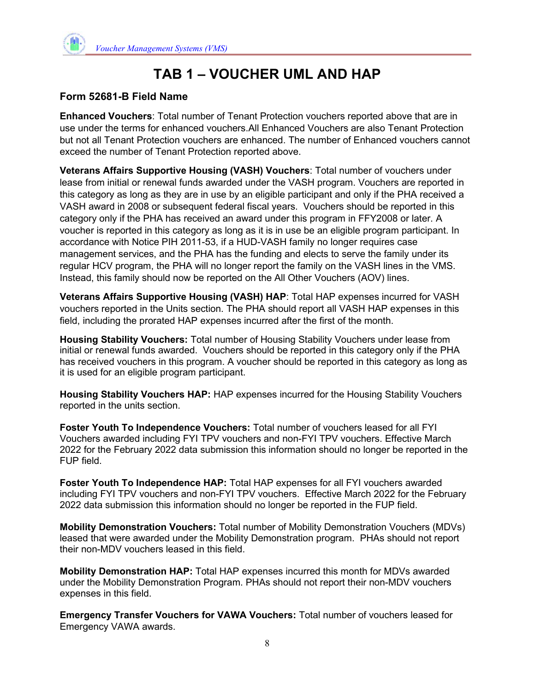

## **Form 52681-B Field Name**

**Enhanced Vouchers**: Total number of Tenant Protection vouchers reported above that are in use under the terms for enhanced vouchers. All Enhanced Vouchers are also Tenant Protection but not all Tenant Protection vouchers are enhanced. The number of Enhanced vouchers cannot exceed the number of Tenant Protection reported above.

**Veterans Affairs Supportive Housing (VASH) Vouchers**: Total number of vouchers under lease from initial or renewal funds awarded under the VASH program. Vouchers are reported in this category as long as they are in use by an eligible participant and only if the PHA received a VASH award in 2008 or subsequent federal fiscal years. Vouchers should be reported in this category only if the PHA has received an award under this program in FFY2008 or later. A voucher is reported in this category as long as it is in use be an eligible program participant. In accordance with Notice PIH 2011-53, if a HUD-VASH family no longer requires case management services, and the PHA has the funding and elects to serve the family under its regular HCV program, the PHA will no longer report the family on the VASH lines in the VMS. Instead, this family should now be reported on the All Other Vouchers (AOV) lines.

**Veterans Affairs Supportive Housing (VASH) HAP**: Total HAP expenses incurred for VASH vouchers reported in the Units section. The PHA should report all VASH HAP expenses in this field, including the prorated HAP expenses incurred after the first of the month.

**Housing Stability Vouchers:** Total number of Housing Stability Vouchers under lease from initial or renewal funds awarded. Vouchers should be reported in this category only if the PHA has received vouchers in this program. A voucher should be reported in this category as long as it is used for an eligible program participant.

**Housing Stability Vouchers HAP:** HAP expenses incurred for the Housing Stability Vouchers reported in the units section.

**Foster Youth To Independence Vouchers:** Total number of vouchers leased for all FYI Vouchers awarded including FYI TPV vouchers and non-FYI TPV vouchers. Effective March 2022 for the February 2022 data submission this information should no longer be reported in the FUP field.

**Foster Youth To Independence HAP:** Total HAP expenses for all FYI vouchers awarded including FYI TPV vouchers and non-FYI TPV vouchers. Effective March 2022 for the February 2022 data submission this information should no longer be reported in the FUP field.

**Mobility Demonstration Vouchers:** Total number of Mobility Demonstration Vouchers (MDVs) leased that were awarded under the Mobility Demonstration program. PHAs should not report their non-MDV vouchers leased in this field.

**Mobility Demonstration HAP:** Total HAP expenses incurred this month for MDVs awarded under the Mobility Demonstration Program. PHAs should not report their non-MDV vouchers expenses in this field.

**Emergency Transfer Vouchers for VAWA Vouchers:** Total number of vouchers leased for Emergency VAWA awards.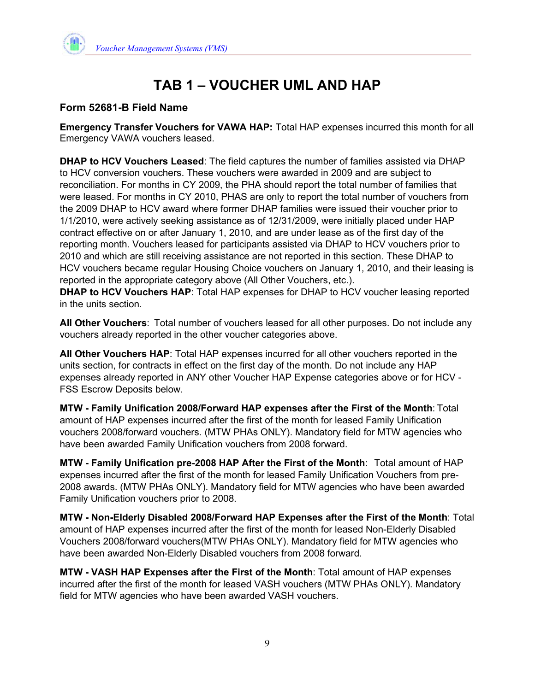

## **Form 52681-B Field Name**

**Emergency Transfer Vouchers for VAWA HAP:** Total HAP expenses incurred this month for all Emergency VAWA vouchers leased.

**DHAP to HCV Vouchers Leased**: The field captures the number of families assisted via DHAP to HCV conversion vouchers. These vouchers were awarded in 2009 and are subject to reconciliation. For months in CY 2009, the PHA should report the total number of families that were leased. For months in CY 2010, PHAS are only to report the total number of vouchers from the 2009 DHAP to HCV award where former DHAP families were issued their voucher prior to 1/1/2010, were actively seeking assistance as of 12/31/2009, were initially placed under HAP contract effective on or after January 1, 2010, and are under lease as of the first day of the reporting month. Vouchers leased for participants assisted via DHAP to HCV vouchers prior to 2010 and which are still receiving assistance are not reported in this section. These DHAP to HCV vouchers became regular Housing Choice vouchers on January 1, 2010, and their leasing is reported in the appropriate category above (All Other Vouchers, etc.).

**DHAP to HCV Vouchers HAP**: Total HAP expenses for DHAP to HCV voucher leasing reported in the units section.

**All Other Vouchers**: Total number of vouchers leased for all other purposes. Do not include any vouchers already reported in the other voucher categories above.

**All Other Vouchers HAP**: Total HAP expenses incurred for all other vouchers reported in the units section, for contracts in effect on the first day of the month. Do not include any HAP expenses already reported in ANY other Voucher HAP Expense categories above or for HCV - FSS Escrow Deposits below.

**MTW - Family Unification 2008/Forward HAP expenses after the First of the Month**: Total amount of HAP expenses incurred after the first of the month for leased Family Unification vouchers 2008/forward vouchers. (MTW PHAs ONLY). Mandatory field for MTW agencies who have been awarded Family Unification vouchers from 2008 forward.

**MTW - Family Unification pre-2008 HAP After the First of the Month**: Total amount of HAP expenses incurred after the first of the month for leased Family Unification Vouchers from pre-2008 awards. (MTW PHAs ONLY). Mandatory field for MTW agencies who have been awarded Family Unification vouchers prior to 2008.

**MTW - Non-Elderly Disabled 2008/Forward HAP Expenses after the First of the Month**: Total amount of HAP expenses incurred after the first of the month for leased Non-Elderly Disabled Vouchers 2008/forward vouchers(MTW PHAs ONLY). Mandatory field for MTW agencies who have been awarded Non-Elderly Disabled vouchers from 2008 forward.

**MTW - VASH HAP Expenses after the First of the Month**: Total amount of HAP expenses incurred after the first of the month for leased VASH vouchers (MTW PHAs ONLY). Mandatory field for MTW agencies who have been awarded VASH vouchers.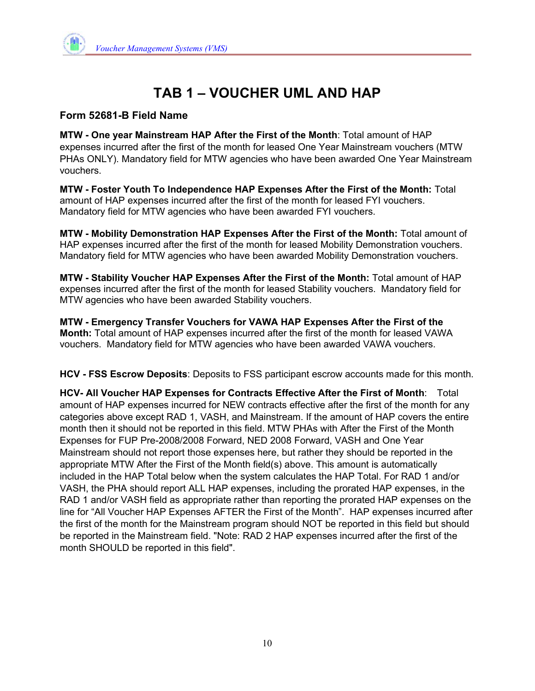## **Form 52681-B Field Name**

**MTW - One year Mainstream HAP After the First of the Month**: Total amount of HAP expenses incurred after the first of the month for leased One Year Mainstream vouchers (MTW PHAs ONLY). Mandatory field for MTW agencies who have been awarded One Year Mainstream vouchers.

**MTW - Foster Youth To Independence HAP Expenses After the First of the Month:** Total amount of HAP expenses incurred after the first of the month for leased FYI vouchers. Mandatory field for MTW agencies who have been awarded FYI vouchers.

**MTW - Mobility Demonstration HAP Expenses After the First of the Month:** Total amount of HAP expenses incurred after the first of the month for leased Mobility Demonstration vouchers. Mandatory field for MTW agencies who have been awarded Mobility Demonstration vouchers.

**MTW - Stability Voucher HAP Expenses After the First of the Month:** Total amount of HAP expenses incurred after the first of the month for leased Stability vouchers. Mandatory field for MTW agencies who have been awarded Stability vouchers.

**MTW - Emergency Transfer Vouchers for VAWA HAP Expenses After the First of the Month:** Total amount of HAP expenses incurred after the first of the month for leased VAWA vouchers. Mandatory field for MTW agencies who have been awarded VAWA vouchers.

**HCV - FSS Escrow Deposits**: Deposits to FSS participant escrow accounts made for this month.

**HCV- All Voucher HAP Expenses for Contracts Effective After the First of Month**: Total amount of HAP expenses incurred for NEW contracts effective after the first of the month for any categories above except RAD 1, VASH, and Mainstream. If the amount of HAP covers the entire month then it should not be reported in this field. MTW PHAs with After the First of the Month Expenses for FUP Pre-2008/2008 Forward, NED 2008 Forward, VASH and One Year Mainstream should not report those expenses here, but rather they should be reported in the appropriate MTW After the First of the Month field(s) above. This amount is automatically included in the HAP Total below when the system calculates the HAP Total. For RAD 1 and/or VASH, the PHA should report ALL HAP expenses, including the prorated HAP expenses, in the RAD 1 and/or VASH field as appropriate rather than reporting the prorated HAP expenses on the line for "All Voucher HAP Expenses AFTER the First of the Month". HAP expenses incurred after the first of the month for the Mainstream program should NOT be reported in this field but should be reported in the Mainstream field. "Note: RAD 2 HAP expenses incurred after the first of the month SHOULD be reported in this field".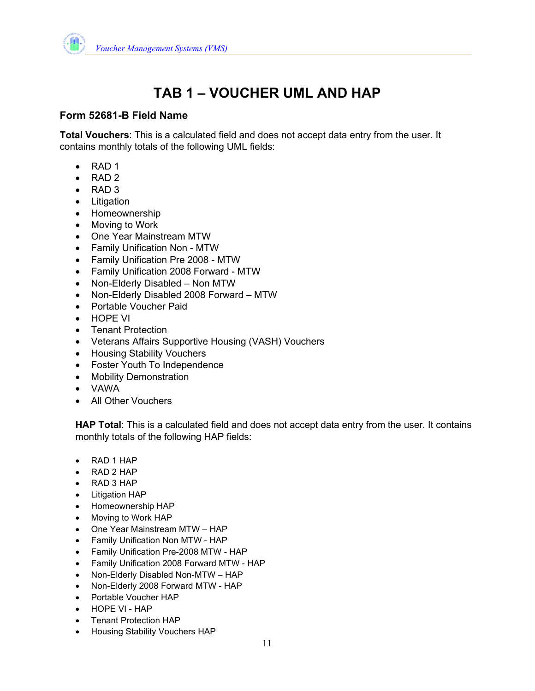

## **Form 52681-B Field Name**

**Total Vouchers**: This is a calculated field and does not accept data entry from the user. It contains monthly totals of the following UML fields:

- $\bullet$  RAD 1
- RAD<sub>2</sub>
- $\bullet$  RAD 3
- Litigation
- Homeownership
- Moving to Work
- One Year Mainstream MTW
- Family Unification Non MTW
- Family Unification Pre 2008 MTW
- Family Unification 2008 Forward MTW
- Non-Elderly Disabled Non MTW
- Non-Elderly Disabled 2008 Forward MTW
- Portable Voucher Paid
- HOPE VI
- Tenant Protection
- Veterans Affairs Supportive Housing (VASH) Vouchers
- Housing Stability Vouchers
- Foster Youth To Independence
- Mobility Demonstration
- VAWA
- All Other Vouchers

**HAP Total**: This is a calculated field and does not accept data entry from the user. It contains monthly totals of the following HAP fields:

- RAD 1 HAP
- RAD 2 HAP
- RAD 3 HAP
- Litigation HAP
- Homeownership HAP
- Moving to Work HAP
- One Year Mainstream MTW HAP
- Family Unification Non MTW HAP
- Family Unification Pre-2008 MTW HAP
- Family Unification 2008 Forward MTW HAP
- Non-Elderly Disabled Non-MTW HAP
- Non-Elderly 2008 Forward MTW HAP
- Portable Voucher HAP
- HOPE VI HAP
- Tenant Protection HAP
- Housing Stability Vouchers HAP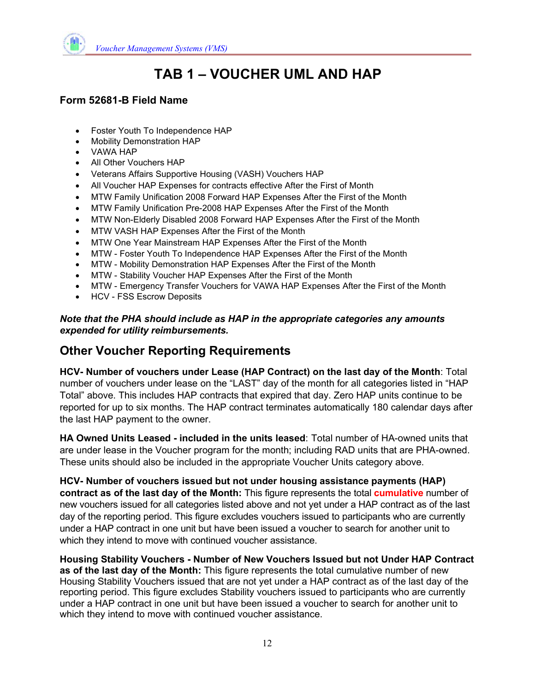

## **Form 52681-B Field Name**

- Foster Youth To Independence HAP
- Mobility Demonstration HAP
- VAWA HAP
- All Other Vouchers HAP
- Veterans Affairs Supportive Housing (VASH) Vouchers HAP
- All Voucher HAP Expenses for contracts effective After the First of Month
- MTW Family Unification 2008 Forward HAP Expenses After the First of the Month
- MTW Family Unification Pre-2008 HAP Expenses After the First of the Month
- MTW Non-Elderly Disabled 2008 Forward HAP Expenses After the First of the Month
- MTW VASH HAP Expenses After the First of the Month
- MTW One Year Mainstream HAP Expenses After the First of the Month
- MTW Foster Youth To Independence HAP Expenses After the First of the Month
- MTW Mobility Demonstration HAP Expenses After the First of the Month
- MTW Stability Voucher HAP Expenses After the First of the Month
- MTW Emergency Transfer Vouchers for VAWA HAP Expenses After the First of the Month
- HCV FSS Escrow Deposits

#### *Note that the PHA should include as HAP in the appropriate categories any amounts expended for utility reimbursements.*

## **Other Voucher Reporting Requirements**

**HCV- Number of vouchers under Lease (HAP Contract) on the last day of the Month**: Total number of vouchers under lease on the "LAST" day of the month for all categories listed in "HAP Total" above. This includes HAP contracts that expired that day. Zero HAP units continue to be reported for up to six months. The HAP contract terminates automatically 180 calendar days after the last HAP payment to the owner.

**HA Owned Units Leased - included in the units leased**: Total number of HA-owned units that are under lease in the Voucher program for the month; including RAD units that are PHA-owned. These units should also be included in the appropriate Voucher Units category above.

**HCV- Number of vouchers issued but not under housing assistance payments (HAP) contract as of the last day of the Month:** This figure represents the total **cumulative** number of new vouchers issued for all categories listed above and not yet under a HAP contract as of the last day of the reporting period. This figure excludes vouchers issued to participants who are currently under a HAP contract in one unit but have been issued a voucher to search for another unit to which they intend to move with continued voucher assistance.

**Housing Stability Vouchers - Number of New Vouchers Issued but not Under HAP Contract as of the last day of the Month:** This figure represents the total cumulative number of new Housing Stability Vouchers issued that are not yet under a HAP contract as of the last day of the reporting period. This figure excludes Stability vouchers issued to participants who are currently under a HAP contract in one unit but have been issued a voucher to search for another unit to which they intend to move with continued voucher assistance.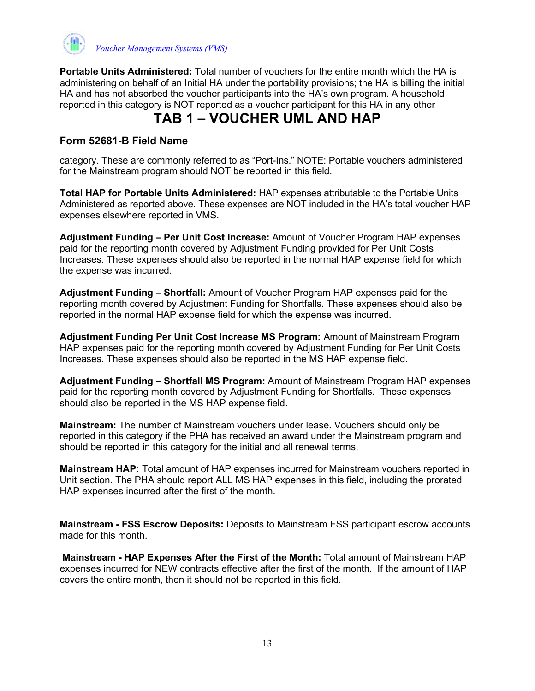

**Portable Units Administered:** Total number of vouchers for the entire month which the HA is administering on behalf of an Initial HA under the portability provisions; the HA is billing the initial HA and has not absorbed the voucher participants into the HA's own program. A household reported in this category is NOT reported as a voucher participant for this HA in any other

# **TAB 1 – VOUCHER UML AND HAP**

## **Form 52681-B Field Name**

category. These are commonly referred to as "Port-Ins." NOTE: Portable vouchers administered for the Mainstream program should NOT be reported in this field.

**Total HAP for Portable Units Administered:** HAP expenses attributable to the Portable Units Administered as reported above. These expenses are NOT included in the HA's total voucher HAP expenses elsewhere reported in VMS.

**Adjustment Funding – Per Unit Cost Increase:** Amount of Voucher Program HAP expenses paid for the reporting month covered by Adjustment Funding provided for Per Unit Costs Increases. These expenses should also be reported in the normal HAP expense field for which the expense was incurred.

**Adjustment Funding – Shortfall:** Amount of Voucher Program HAP expenses paid for the reporting month covered by Adjustment Funding for Shortfalls. These expenses should also be reported in the normal HAP expense field for which the expense was incurred.

**Adjustment Funding Per Unit Cost Increase MS Program:** Amount of Mainstream Program HAP expenses paid for the reporting month covered by Adjustment Funding for Per Unit Costs Increases. These expenses should also be reported in the MS HAP expense field.

**Adjustment Funding – Shortfall MS Program:** Amount of Mainstream Program HAP expenses paid for the reporting month covered by Adjustment Funding for Shortfalls. These expenses should also be reported in the MS HAP expense field.

**Mainstream:** The number of Mainstream vouchers under lease. Vouchers should only be reported in this category if the PHA has received an award under the Mainstream program and should be reported in this category for the initial and all renewal terms.

**Mainstream HAP:** Total amount of HAP expenses incurred for Mainstream vouchers reported in Unit section. The PHA should report ALL MS HAP expenses in this field, including the prorated HAP expenses incurred after the first of the month.

**Mainstream - FSS Escrow Deposits:** Deposits to Mainstream FSS participant escrow accounts made for this month

**Mainstream - HAP Expenses After the First of the Month:** Total amount of Mainstream HAP expenses incurred for NEW contracts effective after the first of the month. If the amount of HAP covers the entire month, then it should not be reported in this field.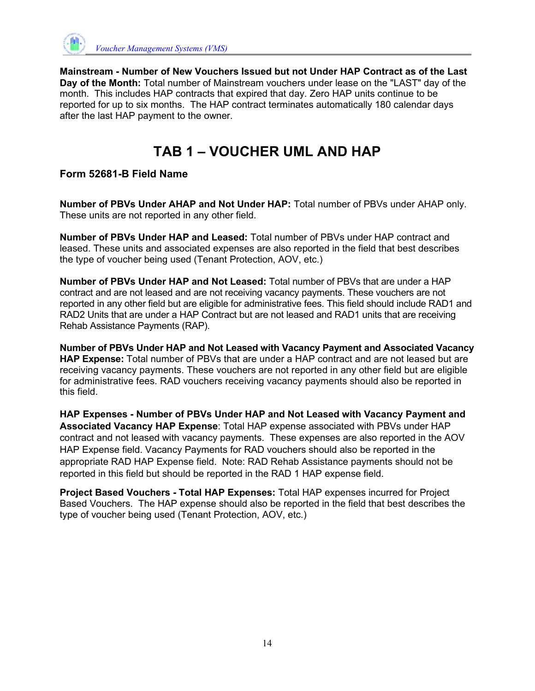

**Mainstream - Number of New Vouchers Issued but not Under HAP Contract as of the Last Day of the Month:** Total number of Mainstream vouchers under lease on the "LAST" day of the month. This includes HAP contracts that expired that day. Zero HAP units continue to be reported for up to six months. The HAP contract terminates automatically 180 calendar days after the last HAP payment to the owner.

# **TAB 1 – VOUCHER UML AND HAP**

#### **Form 52681-B Field Name**

**Number of PBVs Under AHAP and Not Under HAP:** Total number of PBVs under AHAP only. These units are not reported in any other field.

**Number of PBVs Under HAP and Leased:** Total number of PBVs under HAP contract and leased. These units and associated expenses are also reported in the field that best describes the type of voucher being used (Tenant Protection, AOV, etc.)

**Number of PBVs Under HAP and Not Leased:** Total number of PBVs that are under a HAP contract and are not leased and are not receiving vacancy payments. These vouchers are not reported in any other field but are eligible for administrative fees. This field should include RAD1 and RAD2 Units that are under a HAP Contract but are not leased and RAD1 units that are receiving Rehab Assistance Payments (RAP).

**Number of PBVs Under HAP and Not Leased with Vacancy Payment and Associated Vacancy HAP Expense:** Total number of PBVs that are under a HAP contract and are not leased but are receiving vacancy payments. These vouchers are not reported in any other field but are eligible for administrative fees. RAD vouchers receiving vacancy payments should also be reported in this field.

**HAP Expenses - Number of PBVs Under HAP and Not Leased with Vacancy Payment and Associated Vacancy HAP Expense**: Total HAP expense associated with PBVs under HAP contract and not leased with vacancy payments. These expenses are also reported in the AOV HAP Expense field. Vacancy Payments for RAD vouchers should also be reported in the appropriate RAD HAP Expense field. Note: RAD Rehab Assistance payments should not be reported in this field but should be reported in the RAD 1 HAP expense field.

**Project Based Vouchers - Total HAP Expenses:** Total HAP expenses incurred for Project Based Vouchers. The HAP expense should also be reported in the field that best describes the type of voucher being used (Tenant Protection, AOV, etc.)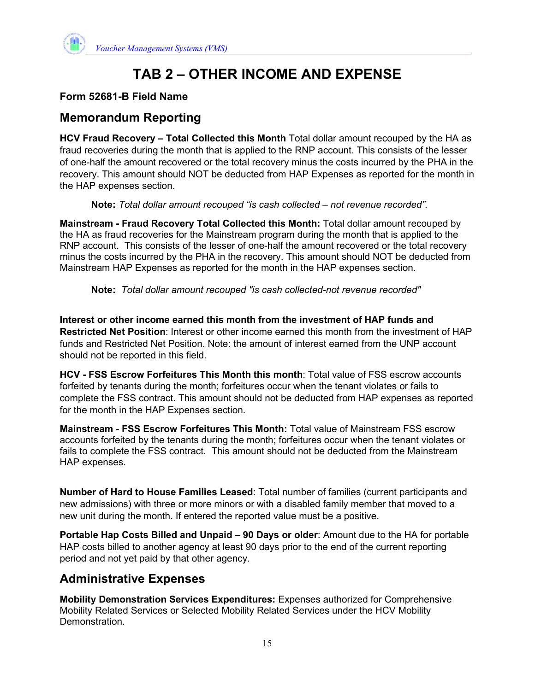

## **Form 52681-B Field Name**

## **Memorandum Reporting**

**HCV Fraud Recovery – Total Collected this Month** Total dollar amount recouped by the HA as fraud recoveries during the month that is applied to the RNP account. This consists of the lesser of one-half the amount recovered or the total recovery minus the costs incurred by the PHA in the recovery. This amount should NOT be deducted from HAP Expenses as reported for the month in the HAP expenses section.

**Note:** *Total dollar amount recouped "is cash collected – not revenue recorded".* 

**Mainstream - Fraud Recovery Total Collected this Month:** Total dollar amount recouped by the HA as fraud recoveries for the Mainstream program during the month that is applied to the RNP account. This consists of the lesser of one-half the amount recovered or the total recovery minus the costs incurred by the PHA in the recovery. This amount should NOT be deducted from Mainstream HAP Expenses as reported for the month in the HAP expenses section.

**Note:** *Total dollar amount recouped "is cash collected-not revenue recorded"*

**Interest or other income earned this month from the investment of HAP funds and Restricted Net Position**: Interest or other income earned this month from the investment of HAP funds and Restricted Net Position. Note: the amount of interest earned from the UNP account should not be reported in this field.

**HCV - FSS Escrow Forfeitures This Month this month**: Total value of FSS escrow accounts forfeited by tenants during the month; forfeitures occur when the tenant violates or fails to complete the FSS contract. This amount should not be deducted from HAP expenses as reported for the month in the HAP Expenses section.

**Mainstream - FSS Escrow Forfeitures This Month:** Total value of Mainstream FSS escrow accounts forfeited by the tenants during the month; forfeitures occur when the tenant violates or fails to complete the FSS contract. This amount should not be deducted from the Mainstream HAP expenses.

**Number of Hard to House Families Leased**: Total number of families (current participants and new admissions) with three or more minors or with a disabled family member that moved to a new unit during the month. If entered the reported value must be a positive.

**Portable Hap Costs Billed and Unpaid – 90 Days or older**: Amount due to the HA for portable HAP costs billed to another agency at least 90 days prior to the end of the current reporting period and not yet paid by that other agency.

## **Administrative Expenses**

**Mobility Demonstration Services Expenditures:** Expenses authorized for Comprehensive Mobility Related Services or Selected Mobility Related Services under the HCV Mobility Demonstration.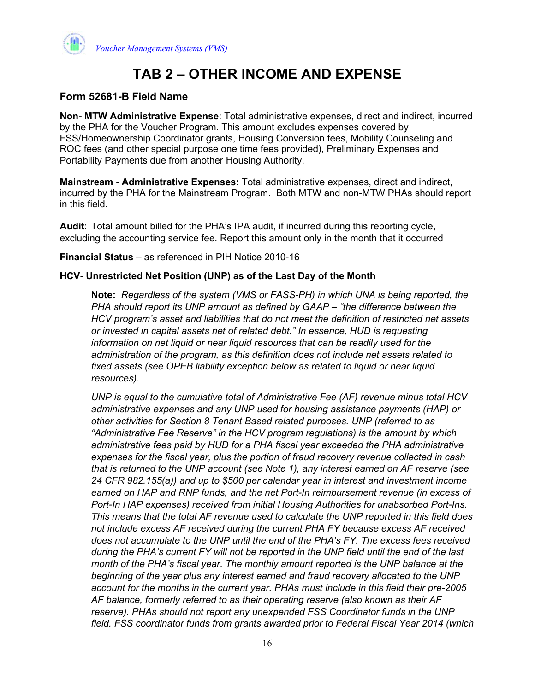

#### **Form 52681-B Field Name**

**Non- MTW Administrative Expense**: Total administrative expenses, direct and indirect, incurred by the PHA for the Voucher Program. This amount excludes expenses covered by FSS/Homeownership Coordinator grants, Housing Conversion fees, Mobility Counseling and ROC fees (and other special purpose one time fees provided), Preliminary Expenses and Portability Payments due from another Housing Authority.

**Mainstream - Administrative Expenses:** Total administrative expenses, direct and indirect, incurred by the PHA for the Mainstream Program. Both MTW and non-MTW PHAs should report in this field.

**Audit**: Total amount billed for the PHA's IPA audit, if incurred during this reporting cycle, excluding the accounting service fee. Report this amount only in the month that it occurred

**Financial Status** – as referenced in PIH Notice 2010-16

#### **HCV- Unrestricted Net Position (UNP) as of the Last Day of the Month**

**Note:** *Regardless of the system (VMS or FASS-PH) in which UNA is being reported, the PHA should report its UNP amount as defined by GAAP – "the difference between the HCV program's asset and liabilities that do not meet the definition of restricted net assets or invested in capital assets net of related debt." In essence, HUD is requesting information on net liquid or near liquid resources that can be readily used for the administration of the program, as this definition does not include net assets related to fixed assets (see OPEB liability exception below as related to liquid or near liquid resources).* 

*UNP is equal to the cumulative total of Administrative Fee (AF) revenue minus total HCV administrative expenses and any UNP used for housing assistance payments (HAP) or other activities for Section 8 Tenant Based related purposes. UNP (referred to as "Administrative Fee Reserve" in the HCV program regulations) is the amount by which administrative fees paid by HUD for a PHA fiscal year exceeded the PHA administrative expenses for the fiscal year, plus the portion of fraud recovery revenue collected in cash that is returned to the UNP account (see Note 1), any interest earned on AF reserve (see 24 CFR 982.155(a)) and up to \$500 per calendar year in interest and investment income earned on HAP and RNP funds, and the net Port-In reimbursement revenue (in excess of Port-In HAP expenses) received from initial Housing Authorities for unabsorbed Port-Ins. This means that the total AF revenue used to calculate the UNP reported in this field does not include excess AF received during the current PHA FY because excess AF received does not accumulate to the UNP until the end of the PHA's FY. The excess fees received during the PHA's current FY will not be reported in the UNP field until the end of the last month of the PHA's fiscal year. The monthly amount reported is the UNP balance at the beginning of the year plus any interest earned and fraud recovery allocated to the UNP account for the months in the current year. PHAs must include in this field their pre-2005 AF balance, formerly referred to as their operating reserve (also known as their AF reserve). PHAs should not report any unexpended FSS Coordinator funds in the UNP field. FSS coordinator funds from grants awarded prior to Federal Fiscal Year 2014 (which*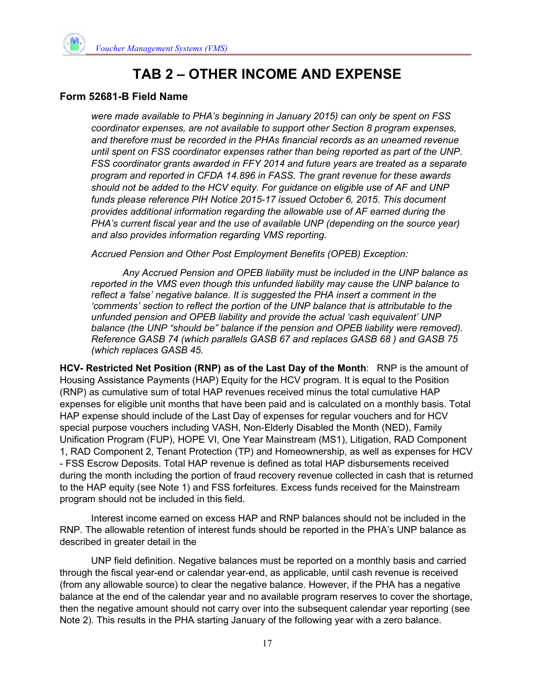

#### **Form 52681-B Field Name**

*were made available to PHA's beginning in January 2015) can only be spent on FSS coordinator expenses, are not available to support other Section 8 program expenses, and therefore must be recorded in the PHAs financial records as an unearned revenue until spent on FSS coordinator expenses rather than being reported as part of the UNP. FSS coordinator grants awarded in FFY 2014 and future years are treated as a separate program and reported in CFDA 14.896 in FASS. The grant revenue for these awards should not be added to the HCV equity. For guidance on eligible use of AF and UNP funds please reference PIH Notice 2015-17 issued October 6, 2015. This document provides additional information regarding the allowable use of AF earned during the PHA's current fiscal year and the use of available UNP (depending on the source year) and also provides information regarding VMS reporting.* 

*Accrued Pension and Other Post Employment Benefits (OPEB) Exception:* 

*Any Accrued Pension and OPEB liability must be included in the UNP balance as reported in the VMS even though this unfunded liability may cause the UNP balance to reflect a 'false' negative balance. It is suggested the PHA insert a comment in the 'comments' section to reflect the portion of the UNP balance that is attributable to the unfunded pension and OPEB liability and provide the actual 'cash equivalent' UNP*  balance (the UNP "should be" balance if the pension and OPEB liability were removed). *Reference GASB 74 (which parallels GASB 67 and replaces GASB 68 ) and GASB 75 (which replaces GASB 45.* 

**HCV- Restricted Net Position (RNP) as of the Last Day of the Month**: RNP is the amount of Housing Assistance Payments (HAP) Equity for the HCV program. It is equal to the Position (RNP) as cumulative sum of total HAP revenues received minus the total cumulative HAP expenses for eligible unit months that have been paid and is calculated on a monthly basis. Total HAP expense should include of the Last Day of expenses for regular vouchers and for HCV special purpose vouchers including VASH, Non-Elderly Disabled the Month (NED), Family Unification Program (FUP), HOPE VI, One Year Mainstream (MS1), Litigation, RAD Component 1, RAD Component 2, Tenant Protection (TP) and Homeownership, as well as expenses for HCV - FSS Escrow Deposits. Total HAP revenue is defined as total HAP disbursements received during the month including the portion of fraud recovery revenue collected in cash that is returned to the HAP equity (see Note 1) and FSS forfeitures. Excess funds received for the Mainstream program should not be included in this field.

 Interest income earned on excess HAP and RNP balances should not be included in the RNP. The allowable retention of interest funds should be reported in the PHA's UNP balance as described in greater detail in the

 UNP field definition. Negative balances must be reported on a monthly basis and carried through the fiscal year-end or calendar year-end, as applicable, until cash revenue is received (from any allowable source) to clear the negative balance. However, if the PHA has a negative balance at the end of the calendar year and no available program reserves to cover the shortage, then the negative amount should not carry over into the subsequent calendar year reporting (see Note 2). This results in the PHA starting January of the following year with a zero balance.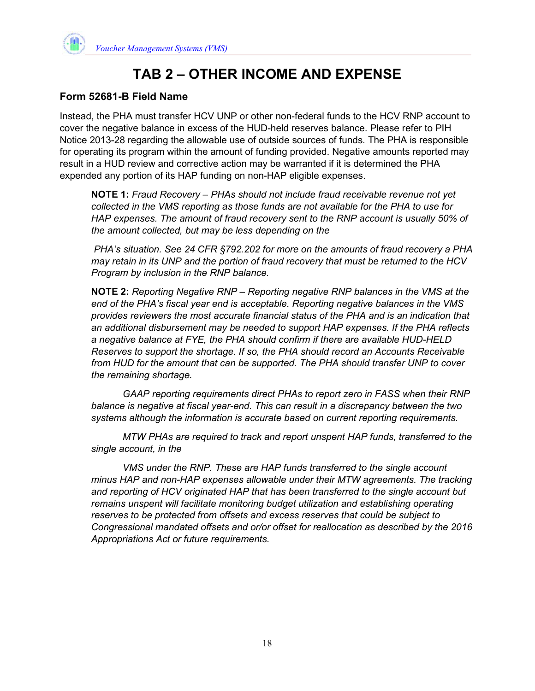

#### **Form 52681-B Field Name**

Instead, the PHA must transfer HCV UNP or other non-federal funds to the HCV RNP account to cover the negative balance in excess of the HUD-held reserves balance. Please refer to PIH Notice 2013-28 regarding the allowable use of outside sources of funds. The PHA is responsible for operating its program within the amount of funding provided. Negative amounts reported may result in a HUD review and corrective action may be warranted if it is determined the PHA expended any portion of its HAP funding on non-HAP eligible expenses.

**NOTE 1:** *Fraud Recovery – PHAs should not include fraud receivable revenue not yet collected in the VMS reporting as those funds are not available for the PHA to use for HAP expenses. The amount of fraud recovery sent to the RNP account is usually 50% of the amount collected, but may be less depending on the* 

 *PHA's situation. See 24 CFR §792.202 for more on the amounts of fraud recovery a PHA may retain in its UNP and the portion of fraud recovery that must be returned to the HCV Program by inclusion in the RNP balance.*

**NOTE 2:** *Reporting Negative RNP – Reporting negative RNP balances in the VMS at the end of the PHA's fiscal year end is acceptable. Reporting negative balances in the VMS provides reviewers the most accurate financial status of the PHA and is an indication that an additional disbursement may be needed to support HAP expenses. If the PHA reflects a negative balance at FYE, the PHA should confirm if there are available HUD-HELD Reserves to support the shortage. If so, the PHA should record an Accounts Receivable from HUD for the amount that can be supported. The PHA should transfer UNP to cover the remaining shortage.* 

 *GAAP reporting requirements direct PHAs to report zero in FASS when their RNP balance is negative at fiscal year-end. This can result in a discrepancy between the two systems although the information is accurate based on current reporting requirements.* 

 *MTW PHAs are required to track and report unspent HAP funds, transferred to the single account, in the* 

 *VMS under the RNP. These are HAP funds transferred to the single account minus HAP and non-HAP expenses allowable under their MTW agreements. The tracking and reporting of HCV originated HAP that has been transferred to the single account but remains unspent will facilitate monitoring budget utilization and establishing operating reserves to be protected from offsets and excess reserves that could be subject to Congressional mandated offsets and or/or offset for reallocation as described by the 2016 Appropriations Act or future requirements.*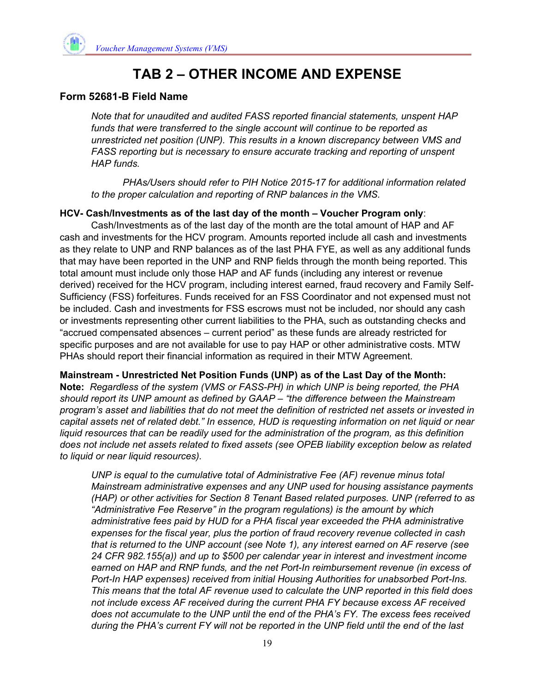

#### **Form 52681-B Field Name**

*Note that for unaudited and audited FASS reported financial statements, unspent HAP funds that were transferred to the single account will continue to be reported as unrestricted net position (UNP). This results in a known discrepancy between VMS and FASS reporting but is necessary to ensure accurate tracking and reporting of unspent HAP funds.* 

 *PHAs/Users should refer to PIH Notice 2015-17 for additional information related to the proper calculation and reporting of RNP balances in the VMS.* 

#### **HCV- Cash/Investments as of the last day of the month – Voucher Program only**:

Cash/Investments as of the last day of the month are the total amount of HAP and AF cash and investments for the HCV program. Amounts reported include all cash and investments as they relate to UNP and RNP balances as of the last PHA FYE, as well as any additional funds that may have been reported in the UNP and RNP fields through the month being reported. This total amount must include only those HAP and AF funds (including any interest or revenue derived) received for the HCV program, including interest earned, fraud recovery and Family Self-Sufficiency (FSS) forfeitures. Funds received for an FSS Coordinator and not expensed must not be included. Cash and investments for FSS escrows must not be included, nor should any cash or investments representing other current liabilities to the PHA, such as outstanding checks and "accrued compensated absences – current period" as these funds are already restricted for specific purposes and are not available for use to pay HAP or other administrative costs. MTW PHAs should report their financial information as required in their MTW Agreement.

**Mainstream - Unrestricted Net Position Funds (UNP) as of the Last Day of the Month: Note:** *Regardless of the system (VMS or FASS-PH) in which UNP is being reported, the PHA should report its UNP amount as defined by GAAP – "the difference between the Mainstream program's asset and liabilities that do not meet the definition of restricted net assets or invested in capital assets net of related debt." In essence, HUD is requesting information on net liquid or near liquid resources that can be readily used for the administration of the program, as this definition does not include net assets related to fixed assets (see OPEB liability exception below as related to liquid or near liquid resources).* 

*UNP is equal to the cumulative total of Administrative Fee (AF) revenue minus total Mainstream administrative expenses and any UNP used for housing assistance payments (HAP) or other activities for Section 8 Tenant Based related purposes. UNP (referred to as "Administrative Fee Reserve" in the program regulations) is the amount by which administrative fees paid by HUD for a PHA fiscal year exceeded the PHA administrative expenses for the fiscal year, plus the portion of fraud recovery revenue collected in cash that is returned to the UNP account (see Note 1), any interest earned on AF reserve (see 24 CFR 982.155(a)) and up to \$500 per calendar year in interest and investment income earned on HAP and RNP funds, and the net Port-In reimbursement revenue (in excess of Port-In HAP expenses) received from initial Housing Authorities for unabsorbed Port-Ins. This means that the total AF revenue used to calculate the UNP reported in this field does not include excess AF received during the current PHA FY because excess AF received does not accumulate to the UNP until the end of the PHA's FY. The excess fees received during the PHA's current FY will not be reported in the UNP field until the end of the last*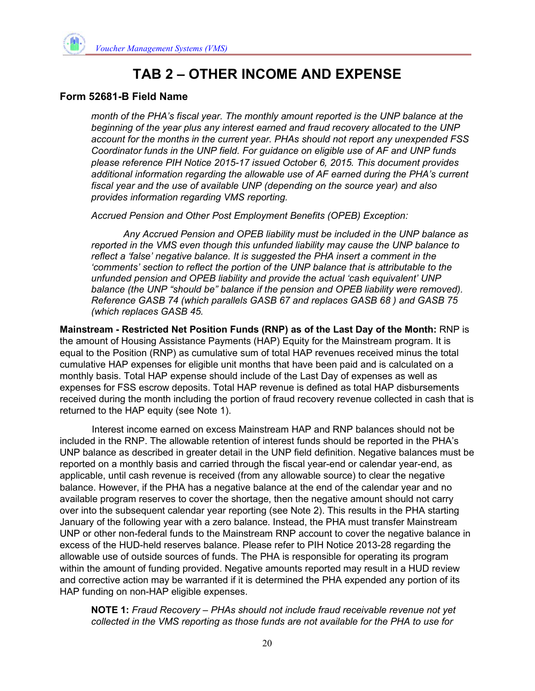#### **Form 52681-B Field Name**

*month of the PHA's fiscal year. The monthly amount reported is the UNP balance at the beginning of the year plus any interest earned and fraud recovery allocated to the UNP account for the months in the current year. PHAs should not report any unexpended FSS Coordinator funds in the UNP field. For guidance on eligible use of AF and UNP funds please reference PIH Notice 2015-17 issued October 6, 2015. This document provides additional information regarding the allowable use of AF earned during the PHA's current fiscal year and the use of available UNP (depending on the source year) and also provides information regarding VMS reporting.* 

*Accrued Pension and Other Post Employment Benefits (OPEB) Exception:* 

 *Any Accrued Pension and OPEB liability must be included in the UNP balance as reported in the VMS even though this unfunded liability may cause the UNP balance to reflect a 'false' negative balance. It is suggested the PHA insert a comment in the 'comments' section to reflect the portion of the UNP balance that is attributable to the unfunded pension and OPEB liability and provide the actual 'cash equivalent' UNP balance (the UNP "should be" balance if the pension and OPEB liability were removed). Reference GASB 74 (which parallels GASB 67 and replaces GASB 68 ) and GASB 75 (which replaces GASB 45.*

**Mainstream - Restricted Net Position Funds (RNP) as of the Last Day of the Month:** RNP is the amount of Housing Assistance Payments (HAP) Equity for the Mainstream program. It is equal to the Position (RNP) as cumulative sum of total HAP revenues received minus the total cumulative HAP expenses for eligible unit months that have been paid and is calculated on a monthly basis. Total HAP expense should include of the Last Day of expenses as well as expenses for FSS escrow deposits. Total HAP revenue is defined as total HAP disbursements received during the month including the portion of fraud recovery revenue collected in cash that is returned to the HAP equity (see Note 1).

 Interest income earned on excess Mainstream HAP and RNP balances should not be included in the RNP. The allowable retention of interest funds should be reported in the PHA's UNP balance as described in greater detail in the UNP field definition. Negative balances must be reported on a monthly basis and carried through the fiscal year-end or calendar year-end, as applicable, until cash revenue is received (from any allowable source) to clear the negative balance. However, if the PHA has a negative balance at the end of the calendar year and no available program reserves to cover the shortage, then the negative amount should not carry over into the subsequent calendar year reporting (see Note 2). This results in the PHA starting January of the following year with a zero balance. Instead, the PHA must transfer Mainstream UNP or other non-federal funds to the Mainstream RNP account to cover the negative balance in excess of the HUD-held reserves balance. Please refer to PIH Notice 2013-28 regarding the allowable use of outside sources of funds. The PHA is responsible for operating its program within the amount of funding provided. Negative amounts reported may result in a HUD review and corrective action may be warranted if it is determined the PHA expended any portion of its HAP funding on non-HAP eligible expenses.

**NOTE 1:** *Fraud Recovery – PHAs should not include fraud receivable revenue not yet collected in the VMS reporting as those funds are not available for the PHA to use for*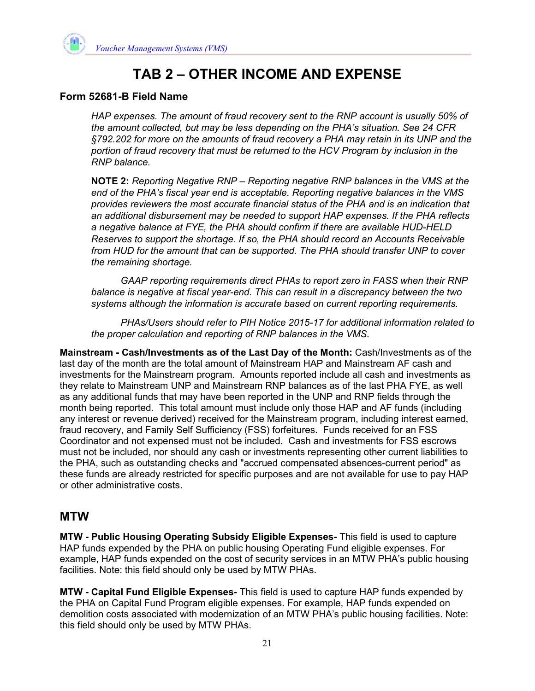

#### **Form 52681-B Field Name**

*HAP expenses. The amount of fraud recovery sent to the RNP account is usually 50% of the amount collected, but may be less depending on the PHA's situation. See 24 CFR §792.202 for more on the amounts of fraud recovery a PHA may retain in its UNP and the portion of fraud recovery that must be returned to the HCV Program by inclusion in the RNP balance.*

**NOTE 2:** *Reporting Negative RNP – Reporting negative RNP balances in the VMS at the end of the PHA's fiscal year end is acceptable. Reporting negative balances in the VMS provides reviewers the most accurate financial status of the PHA and is an indication that an additional disbursement may be needed to support HAP expenses. If the PHA reflects a negative balance at FYE, the PHA should confirm if there are available HUD-HELD Reserves to support the shortage. If so, the PHA should record an Accounts Receivable from HUD for the amount that can be supported. The PHA should transfer UNP to cover the remaining shortage.* 

 *GAAP reporting requirements direct PHAs to report zero in FASS when their RNP balance is negative at fiscal year-end. This can result in a discrepancy between the two systems although the information is accurate based on current reporting requirements.* 

 *PHAs/Users should refer to PIH Notice 2015-17 for additional information related to the proper calculation and reporting of RNP balances in the VMS.*

**Mainstream - Cash/Investments as of the Last Day of the Month:** Cash/Investments as of the last day of the month are the total amount of Mainstream HAP and Mainstream AF cash and investments for the Mainstream program. Amounts reported include all cash and investments as they relate to Mainstream UNP and Mainstream RNP balances as of the last PHA FYE, as well as any additional funds that may have been reported in the UNP and RNP fields through the month being reported. This total amount must include only those HAP and AF funds (including any interest or revenue derived) received for the Mainstream program, including interest earned, fraud recovery, and Family Self Sufficiency (FSS) forfeitures. Funds received for an FSS Coordinator and not expensed must not be included. Cash and investments for FSS escrows must not be included, nor should any cash or investments representing other current liabilities to the PHA, such as outstanding checks and "accrued compensated absences-current period" as these funds are already restricted for specific purposes and are not available for use to pay HAP or other administrative costs.

## **MTW**

**MTW - Public Housing Operating Subsidy Eligible Expenses-** This field is used to capture HAP funds expended by the PHA on public housing Operating Fund eligible expenses. For example, HAP funds expended on the cost of security services in an MTW PHA's public housing facilities. Note: this field should only be used by MTW PHAs.

**MTW - Capital Fund Eligible Expenses-** This field is used to capture HAP funds expended by the PHA on Capital Fund Program eligible expenses. For example, HAP funds expended on demolition costs associated with modernization of an MTW PHA's public housing facilities. Note: this field should only be used by MTW PHAs.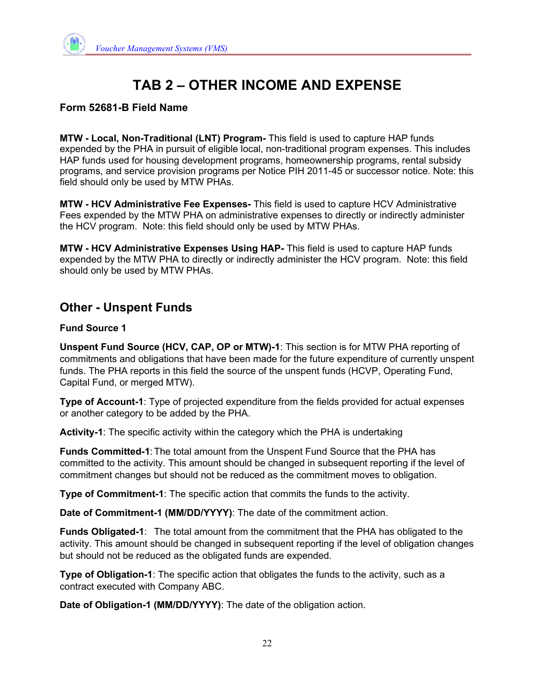## **Form 52681-B Field Name**

**MTW - Local, Non-Traditional (LNT) Program-** This field is used to capture HAP funds expended by the PHA in pursuit of eligible local, non-traditional program expenses. This includes HAP funds used for housing development programs, homeownership programs, rental subsidy programs, and service provision programs per Notice PIH 2011-45 or successor notice. Note: this field should only be used by MTW PHAs.

**MTW - HCV Administrative Fee Expenses-** This field is used to capture HCV Administrative Fees expended by the MTW PHA on administrative expenses to directly or indirectly administer the HCV program. Note: this field should only be used by MTW PHAs.

**MTW - HCV Administrative Expenses Using HAP-** This field is used to capture HAP funds expended by the MTW PHA to directly or indirectly administer the HCV program. Note: this field should only be used by MTW PHAs.

## **Other - Unspent Funds**

#### **Fund Source 1**

**Unspent Fund Source (HCV, CAP, OP or MTW)-1**: This section is for MTW PHA reporting of commitments and obligations that have been made for the future expenditure of currently unspent funds. The PHA reports in this field the source of the unspent funds (HCVP, Operating Fund, Capital Fund, or merged MTW).

**Type of Account-1**: Type of projected expenditure from the fields provided for actual expenses or another category to be added by the PHA.

**Activity-1**: The specific activity within the category which the PHA is undertaking

**Funds Committed-1**: The total amount from the Unspent Fund Source that the PHA has committed to the activity. This amount should be changed in subsequent reporting if the level of commitment changes but should not be reduced as the commitment moves to obligation.

**Type of Commitment-1**: The specific action that commits the funds to the activity.

**Date of Commitment-1 (MM/DD/YYYY)**: The date of the commitment action.

**Funds Obligated-1**: The total amount from the commitment that the PHA has obligated to the activity. This amount should be changed in subsequent reporting if the level of obligation changes but should not be reduced as the obligated funds are expended.

**Type of Obligation-1**: The specific action that obligates the funds to the activity, such as a contract executed with Company ABC.

**Date of Obligation-1 (MM/DD/YYYY)**: The date of the obligation action.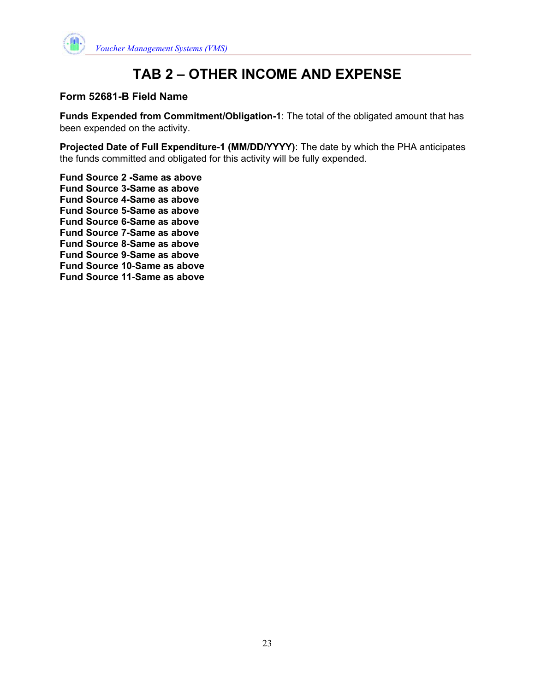

#### **Form 52681-B Field Name**

**Funds Expended from Commitment/Obligation-1**: The total of the obligated amount that has been expended on the activity.

**Projected Date of Full Expenditure-1 (MM/DD/YYYY)**: The date by which the PHA anticipates the funds committed and obligated for this activity will be fully expended.

**Fund Source 2 -Same as above Fund Source 3-Same as above Fund Source 4-Same as above Fund Source 5-Same as above Fund Source 6-Same as above Fund Source 7-Same as above Fund Source 8-Same as above Fund Source 9-Same as above Fund Source 10-Same as above Fund Source 11-Same as above**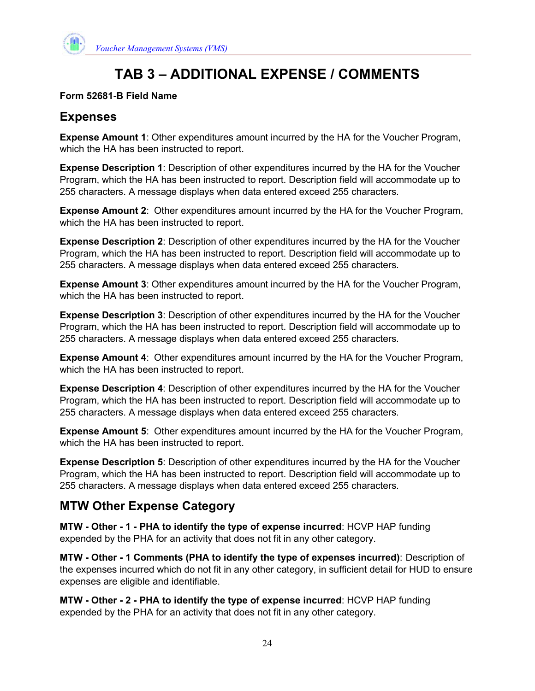

# **TAB 3 – ADDITIONAL EXPENSE / COMMENTS**

#### **Form 52681-B Field Name**

## **Expenses**

**Expense Amount 1**: Other expenditures amount incurred by the HA for the Voucher Program, which the HA has been instructed to report.

**Expense Description 1**: Description of other expenditures incurred by the HA for the Voucher Program, which the HA has been instructed to report. Description field will accommodate up to 255 characters. A message displays when data entered exceed 255 characters.

**Expense Amount 2**: Other expenditures amount incurred by the HA for the Voucher Program, which the HA has been instructed to report.

**Expense Description 2**: Description of other expenditures incurred by the HA for the Voucher Program, which the HA has been instructed to report. Description field will accommodate up to 255 characters. A message displays when data entered exceed 255 characters.

**Expense Amount 3**: Other expenditures amount incurred by the HA for the Voucher Program, which the HA has been instructed to report.

**Expense Description 3**: Description of other expenditures incurred by the HA for the Voucher Program, which the HA has been instructed to report. Description field will accommodate up to 255 characters. A message displays when data entered exceed 255 characters.

**Expense Amount 4**: Other expenditures amount incurred by the HA for the Voucher Program, which the HA has been instructed to report.

**Expense Description 4**: Description of other expenditures incurred by the HA for the Voucher Program, which the HA has been instructed to report. Description field will accommodate up to 255 characters. A message displays when data entered exceed 255 characters.

**Expense Amount 5**: Other expenditures amount incurred by the HA for the Voucher Program, which the HA has been instructed to report.

**Expense Description 5**: Description of other expenditures incurred by the HA for the Voucher Program, which the HA has been instructed to report. Description field will accommodate up to 255 characters. A message displays when data entered exceed 255 characters.

## **MTW Other Expense Category**

**MTW - Other - 1 - PHA to identify the type of expense incurred**: HCVP HAP funding expended by the PHA for an activity that does not fit in any other category.

**MTW - Other - 1 Comments (PHA to identify the type of expenses incurred)**: Description of the expenses incurred which do not fit in any other category, in sufficient detail for HUD to ensure expenses are eligible and identifiable.

**MTW - Other - 2 - PHA to identify the type of expense incurred**: HCVP HAP funding expended by the PHA for an activity that does not fit in any other category.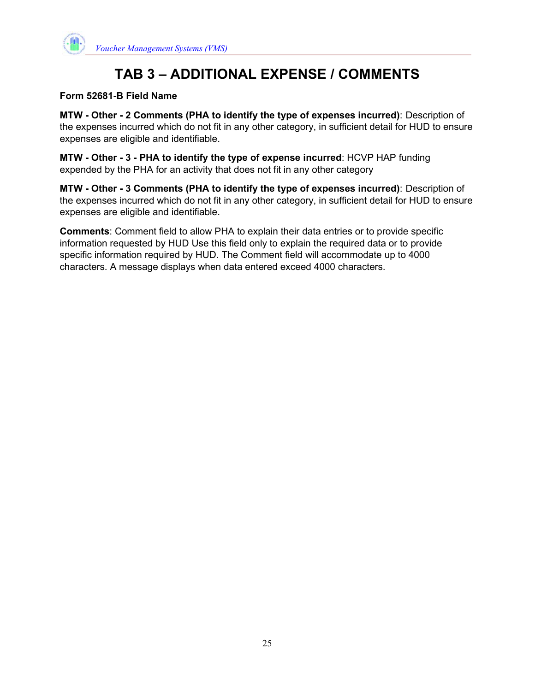

# **TAB 3 – ADDITIONAL EXPENSE / COMMENTS**

#### **Form 52681-B Field Name**

**MTW - Other - 2 Comments (PHA to identify the type of expenses incurred)**: Description of the expenses incurred which do not fit in any other category, in sufficient detail for HUD to ensure expenses are eligible and identifiable.

**MTW - Other - 3 - PHA to identify the type of expense incurred**: HCVP HAP funding expended by the PHA for an activity that does not fit in any other category

**MTW - Other - 3 Comments (PHA to identify the type of expenses incurred)**: Description of the expenses incurred which do not fit in any other category, in sufficient detail for HUD to ensure expenses are eligible and identifiable.

**Comments**: Comment field to allow PHA to explain their data entries or to provide specific information requested by HUD Use this field only to explain the required data or to provide specific information required by HUD. The Comment field will accommodate up to 4000 characters. A message displays when data entered exceed 4000 characters.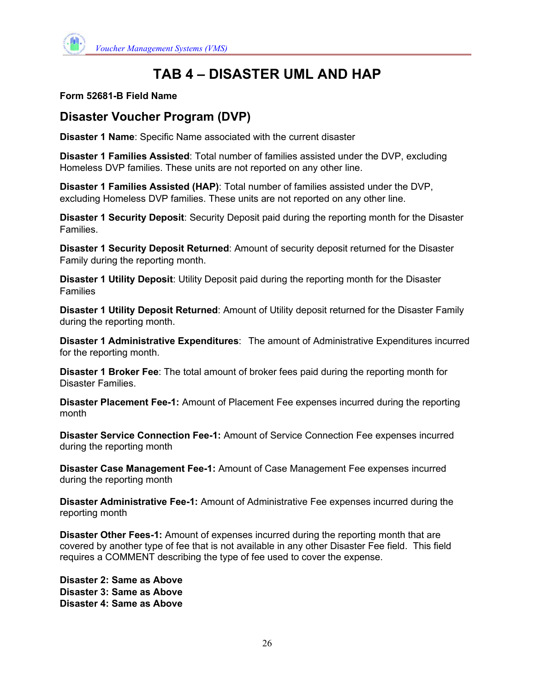

# **TAB 4 – DISASTER UML AND HAP**

#### **Form 52681-B Field Name**

## **Disaster Voucher Program (DVP)**

**Disaster 1 Name**: Specific Name associated with the current disaster

**Disaster 1 Families Assisted**: Total number of families assisted under the DVP, excluding Homeless DVP families. These units are not reported on any other line.

**Disaster 1 Families Assisted (HAP)**: Total number of families assisted under the DVP, excluding Homeless DVP families. These units are not reported on any other line.

**Disaster 1 Security Deposit**: Security Deposit paid during the reporting month for the Disaster Families.

**Disaster 1 Security Deposit Returned**: Amount of security deposit returned for the Disaster Family during the reporting month.

**Disaster 1 Utility Deposit**: Utility Deposit paid during the reporting month for the Disaster Families

**Disaster 1 Utility Deposit Returned**: Amount of Utility deposit returned for the Disaster Family during the reporting month.

**Disaster 1 Administrative Expenditures**: The amount of Administrative Expenditures incurred for the reporting month.

**Disaster 1 Broker Fee**: The total amount of broker fees paid during the reporting month for Disaster Families.

**Disaster Placement Fee-1:** Amount of Placement Fee expenses incurred during the reporting month

**Disaster Service Connection Fee-1:** Amount of Service Connection Fee expenses incurred during the reporting month

**Disaster Case Management Fee-1:** Amount of Case Management Fee expenses incurred during the reporting month

**Disaster Administrative Fee-1:** Amount of Administrative Fee expenses incurred during the reporting month

**Disaster Other Fees-1:** Amount of expenses incurred during the reporting month that are covered by another type of fee that is not available in any other Disaster Fee field. This field requires a COMMENT describing the type of fee used to cover the expense.

**Disaster 2: Same as Above Disaster 3: Same as Above Disaster 4: Same as Above**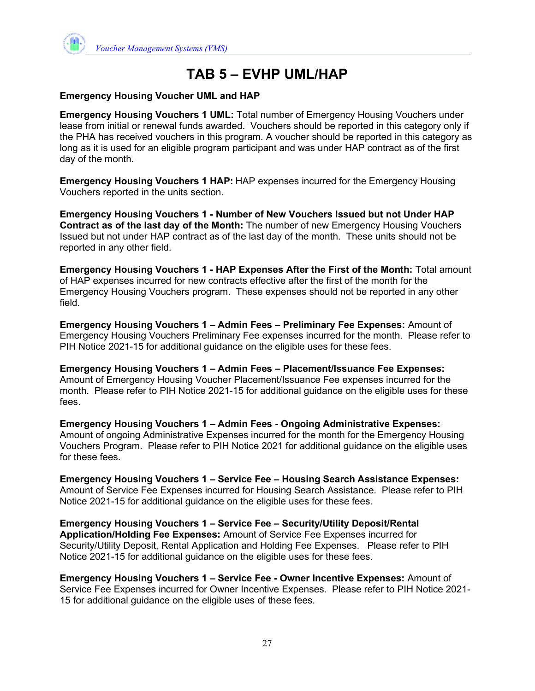

# **TAB 5 – EVHP UML/HAP**

#### **Emergency Housing Voucher UML and HAP**

**Emergency Housing Vouchers 1 UML:** Total number of Emergency Housing Vouchers under lease from initial or renewal funds awarded. Vouchers should be reported in this category only if the PHA has received vouchers in this program. A voucher should be reported in this category as long as it is used for an eligible program participant and was under HAP contract as of the first day of the month.

**Emergency Housing Vouchers 1 HAP:** HAP expenses incurred for the Emergency Housing Vouchers reported in the units section.

**Emergency Housing Vouchers 1 - Number of New Vouchers Issued but not Under HAP Contract as of the last day of the Month:** The number of new Emergency Housing Vouchers Issued but not under HAP contract as of the last day of the month. These units should not be reported in any other field.

**Emergency Housing Vouchers 1 - HAP Expenses After the First of the Month:** Total amount of HAP expenses incurred for new contracts effective after the first of the month for the Emergency Housing Vouchers program. These expenses should not be reported in any other field.

**Emergency Housing Vouchers 1 – Admin Fees – Preliminary Fee Expenses:** Amount of Emergency Housing Vouchers Preliminary Fee expenses incurred for the month. Please refer to PIH Notice 2021-15 for additional guidance on the eligible uses for these fees.

**Emergency Housing Vouchers 1 – Admin Fees – Placement/Issuance Fee Expenses:**  Amount of Emergency Housing Voucher Placement/Issuance Fee expenses incurred for the month. Please refer to PIH Notice 2021-15 for additional guidance on the eligible uses for these fees.

**Emergency Housing Vouchers 1 – Admin Fees - Ongoing Administrative Expenses:**  Amount of ongoing Administrative Expenses incurred for the month for the Emergency Housing Vouchers Program. Please refer to PIH Notice 2021 for additional guidance on the eligible uses for these fees.

**Emergency Housing Vouchers 1 – Service Fee – Housing Search Assistance Expenses:**  Amount of Service Fee Expenses incurred for Housing Search Assistance. Please refer to PIH Notice 2021-15 for additional guidance on the eligible uses for these fees.

**Emergency Housing Vouchers 1 – Service Fee – Security/Utility Deposit/Rental Application/Holding Fee Expenses:** Amount of Service Fee Expenses incurred for Security/Utility Deposit, Rental Application and Holding Fee Expenses. Please refer to PIH Notice 2021-15 for additional guidance on the eligible uses for these fees.

**Emergency Housing Vouchers 1 – Service Fee - Owner Incentive Expenses:** Amount of Service Fee Expenses incurred for Owner Incentive Expenses. Please refer to PIH Notice 2021- 15 for additional guidance on the eligible uses of these fees.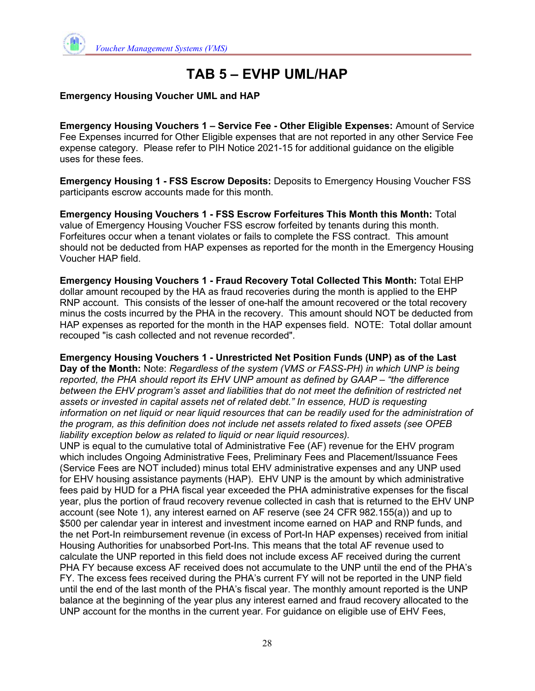

# **TAB 5 – EVHP UML/HAP**

#### **Emergency Housing Voucher UML and HAP**

**Emergency Housing Vouchers 1 – Service Fee - Other Eligible Expenses:** Amount of Service Fee Expenses incurred for Other Eligible expenses that are not reported in any other Service Fee expense category. Please refer to PIH Notice 2021-15 for additional guidance on the eligible uses for these fees.

**Emergency Housing 1 - FSS Escrow Deposits:** Deposits to Emergency Housing Voucher FSS participants escrow accounts made for this month.

**Emergency Housing Vouchers 1 - FSS Escrow Forfeitures This Month this Month:** Total value of Emergency Housing Voucher FSS escrow forfeited by tenants during this month. Forfeitures occur when a tenant violates or fails to complete the FSS contract. This amount should not be deducted from HAP expenses as reported for the month in the Emergency Housing Voucher HAP field.

**Emergency Housing Vouchers 1 - Fraud Recovery Total Collected This Month:** Total EHP dollar amount recouped by the HA as fraud recoveries during the month is applied to the EHP RNP account. This consists of the lesser of one-half the amount recovered or the total recovery minus the costs incurred by the PHA in the recovery. This amount should NOT be deducted from HAP expenses as reported for the month in the HAP expenses field. NOTE: Total dollar amount recouped "is cash collected and not revenue recorded".

**Emergency Housing Vouchers 1 - Unrestricted Net Position Funds (UNP) as of the Last Day of the Month:** Note: *Regardless of the system (VMS or FASS-PH) in which UNP is being reported, the PHA should report its EHV UNP amount as defined by GAAP – "the difference between the EHV program's asset and liabilities that do not meet the definition of restricted net assets or invested in capital assets net of related debt." In essence, HUD is requesting information on net liquid or near liquid resources that can be readily used for the administration of the program, as this definition does not include net assets related to fixed assets (see OPEB liability exception below as related to liquid or near liquid resources).* 

UNP is equal to the cumulative total of Administrative Fee (AF) revenue for the EHV program which includes Ongoing Administrative Fees, Preliminary Fees and Placement/Issuance Fees (Service Fees are NOT included) minus total EHV administrative expenses and any UNP used for EHV housing assistance payments (HAP). EHV UNP is the amount by which administrative fees paid by HUD for a PHA fiscal year exceeded the PHA administrative expenses for the fiscal year, plus the portion of fraud recovery revenue collected in cash that is returned to the EHV UNP account (see Note 1), any interest earned on AF reserve (see 24 CFR 982.155(a)) and up to \$500 per calendar year in interest and investment income earned on HAP and RNP funds, and the net Port-In reimbursement revenue (in excess of Port-In HAP expenses) received from initial Housing Authorities for unabsorbed Port-Ins. This means that the total AF revenue used to calculate the UNP reported in this field does not include excess AF received during the current PHA FY because excess AF received does not accumulate to the UNP until the end of the PHA's FY. The excess fees received during the PHA's current FY will not be reported in the UNP field until the end of the last month of the PHA's fiscal year. The monthly amount reported is the UNP balance at the beginning of the year plus any interest earned and fraud recovery allocated to the UNP account for the months in the current year. For guidance on eligible use of EHV Fees,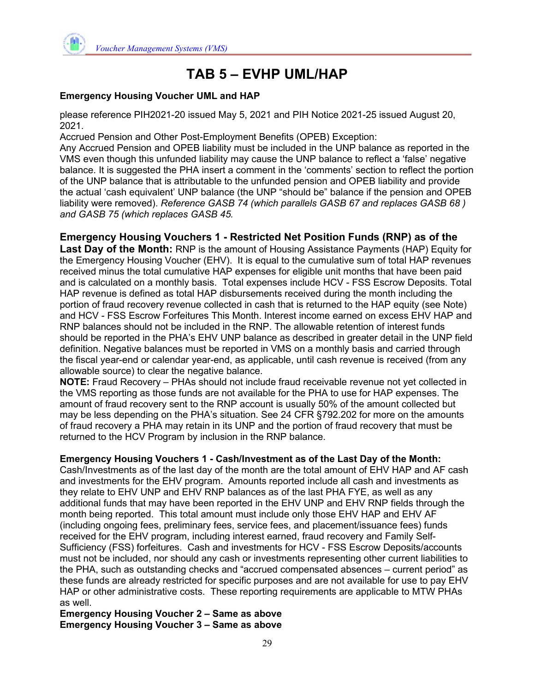

# **TAB 5 – EVHP UML/HAP**

#### **Emergency Housing Voucher UML and HAP**

please reference PIH2021-20 issued May 5, 2021 and PIH Notice 2021-25 issued August 20, 2021.

Accrued Pension and Other Post-Employment Benefits (OPEB) Exception:

Any Accrued Pension and OPEB liability must be included in the UNP balance as reported in the VMS even though this unfunded liability may cause the UNP balance to reflect a 'false' negative balance. It is suggested the PHA insert a comment in the 'comments' section to reflect the portion of the UNP balance that is attributable to the unfunded pension and OPEB liability and provide the actual 'cash equivalent' UNP balance (the UNP "should be" balance if the pension and OPEB liability were removed). *Reference GASB 74 (which parallels GASB 67 and replaces GASB 68 ) and GASB 75 (which replaces GASB 45.* 

**Emergency Housing Vouchers 1 - Restricted Net Position Funds (RNP) as of the** 

**Last Day of the Month:** RNP is the amount of Housing Assistance Payments (HAP) Equity for the Emergency Housing Voucher (EHV). It is equal to the cumulative sum of total HAP revenues received minus the total cumulative HAP expenses for eligible unit months that have been paid and is calculated on a monthly basis. Total expenses include HCV - FSS Escrow Deposits. Total HAP revenue is defined as total HAP disbursements received during the month including the portion of fraud recovery revenue collected in cash that is returned to the HAP equity (see Note) and HCV - FSS Escrow Forfeitures This Month. Interest income earned on excess EHV HAP and RNP balances should not be included in the RNP. The allowable retention of interest funds should be reported in the PHA's EHV UNP balance as described in greater detail in the UNP field definition. Negative balances must be reported in VMS on a monthly basis and carried through the fiscal year-end or calendar year-end, as applicable, until cash revenue is received (from any allowable source) to clear the negative balance.

**NOTE:** Fraud Recovery – PHAs should not include fraud receivable revenue not yet collected in the VMS reporting as those funds are not available for the PHA to use for HAP expenses. The amount of fraud recovery sent to the RNP account is usually 50% of the amount collected but may be less depending on the PHA's situation. See 24 CFR §792.202 for more on the amounts of fraud recovery a PHA may retain in its UNP and the portion of fraud recovery that must be returned to the HCV Program by inclusion in the RNP balance.

**Emergency Housing Vouchers 1 - Cash/Investment as of the Last Day of the Month:** 

Cash/Investments as of the last day of the month are the total amount of EHV HAP and AF cash and investments for the EHV program. Amounts reported include all cash and investments as they relate to EHV UNP and EHV RNP balances as of the last PHA FYE, as well as any additional funds that may have been reported in the EHV UNP and EHV RNP fields through the month being reported. This total amount must include only those EHV HAP and EHV AF (including ongoing fees, preliminary fees, service fees, and placement/issuance fees) funds received for the EHV program, including interest earned, fraud recovery and Family Self-Sufficiency (FSS) forfeitures. Cash and investments for HCV - FSS Escrow Deposits/accounts must not be included, nor should any cash or investments representing other current liabilities to the PHA, such as outstanding checks and "accrued compensated absences – current period" as these funds are already restricted for specific purposes and are not available for use to pay EHV HAP or other administrative costs. These reporting requirements are applicable to MTW PHAs as well.

**Emergency Housing Voucher 2 – Same as above Emergency Housing Voucher 3 – Same as above**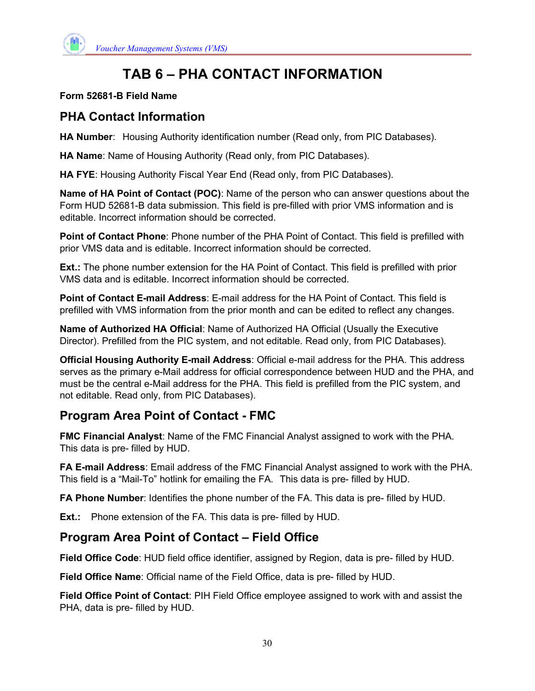

# **TAB 6 – PHA CONTACT INFORMATION**

#### **Form 52681-B Field Name**

## **PHA Contact Information**

**HA Number**: Housing Authority identification number (Read only, from PIC Databases).

**HA Name**: Name of Housing Authority (Read only, from PIC Databases).

**HA FYE**: Housing Authority Fiscal Year End (Read only, from PIC Databases).

**Name of HA Point of Contact (POC)**: Name of the person who can answer questions about the Form HUD 52681-B data submission. This field is pre-filled with prior VMS information and is editable. Incorrect information should be corrected.

**Point of Contact Phone**: Phone number of the PHA Point of Contact. This field is prefilled with prior VMS data and is editable. Incorrect information should be corrected.

**Ext.:** The phone number extension for the HA Point of Contact. This field is prefilled with prior VMS data and is editable. Incorrect information should be corrected.

**Point of Contact E-mail Address**: E-mail address for the HA Point of Contact. This field is prefilled with VMS information from the prior month and can be edited to reflect any changes.

**Name of Authorized HA Official**: Name of Authorized HA Official (Usually the Executive Director). Prefilled from the PIC system, and not editable. Read only, from PIC Databases).

**Official Housing Authority E-mail Address**: Official e-mail address for the PHA. This address serves as the primary e-Mail address for official correspondence between HUD and the PHA, and must be the central e-Mail address for the PHA. This field is prefilled from the PIC system, and not editable. Read only, from PIC Databases).

## **Program Area Point of Contact - FMC**

**FMC Financial Analyst**: Name of the FMC Financial Analyst assigned to work with the PHA. This data is pre- filled by HUD.

**FA E-mail Address**: Email address of the FMC Financial Analyst assigned to work with the PHA. This field is a "Mail-To" hotlink for emailing the FA. This data is pre- filled by HUD.

**FA Phone Number**: Identifies the phone number of the FA. This data is pre- filled by HUD.

**Ext.:** Phone extension of the FA. This data is pre- filled by HUD.

## **Program Area Point of Contact – Field Office**

**Field Office Code**: HUD field office identifier, assigned by Region, data is pre- filled by HUD.

**Field Office Name**: Official name of the Field Office, data is pre- filled by HUD.

**Field Office Point of Contact**: PIH Field Office employee assigned to work with and assist the PHA, data is pre- filled by HUD.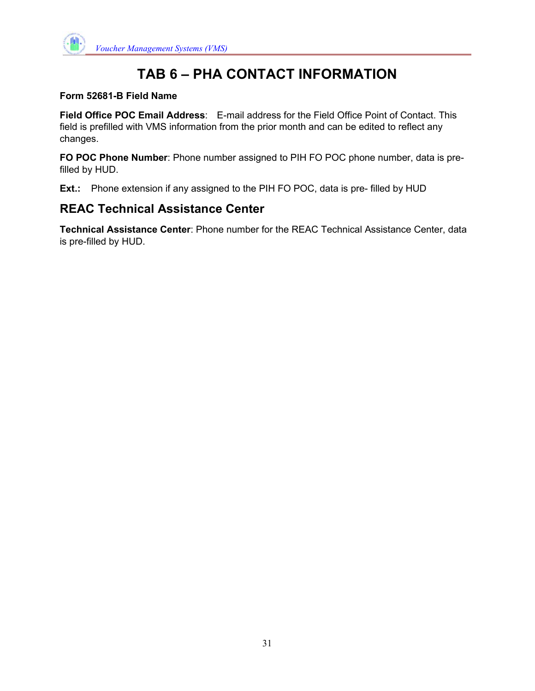

# **TAB 6 – PHA CONTACT INFORMATION**

#### **Form 52681-B Field Name**

**Field Office POC Email Address**: E-mail address for the Field Office Point of Contact. This field is prefilled with VMS information from the prior month and can be edited to reflect any changes.

**FO POC Phone Number**: Phone number assigned to PIH FO POC phone number, data is prefilled by HUD.

**Ext.:** Phone extension if any assigned to the PIH FO POC, data is pre- filled by HUD

## **REAC Technical Assistance Center**

**Technical Assistance Center**: Phone number for the REAC Technical Assistance Center, data is pre-filled by HUD.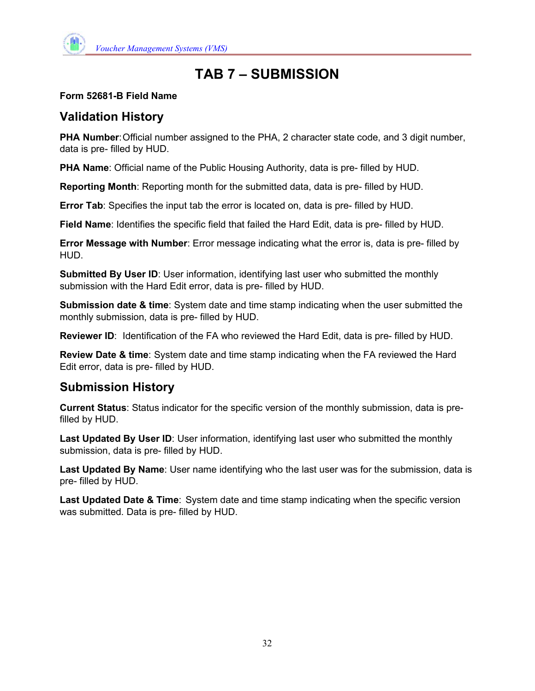

# **TAB 7 – SUBMISSION**

#### **Form 52681-B Field Name**

## **Validation History**

**PHA Number**: Official number assigned to the PHA, 2 character state code, and 3 digit number, data is pre- filled by HUD.

**PHA Name**: Official name of the Public Housing Authority, data is pre- filled by HUD.

**Reporting Month**: Reporting month for the submitted data, data is pre- filled by HUD.

**Error Tab**: Specifies the input tab the error is located on, data is pre- filled by HUD.

**Field Name**: Identifies the specific field that failed the Hard Edit, data is pre- filled by HUD.

**Error Message with Number**: Error message indicating what the error is, data is pre- filled by HUD.

**Submitted By User ID**: User information, identifying last user who submitted the monthly submission with the Hard Edit error, data is pre- filled by HUD.

**Submission date & time**: System date and time stamp indicating when the user submitted the monthly submission, data is pre- filled by HUD.

**Reviewer ID**: Identification of the FA who reviewed the Hard Edit, data is pre- filled by HUD.

**Review Date & time**: System date and time stamp indicating when the FA reviewed the Hard Edit error, data is pre- filled by HUD.

## **Submission History**

**Current Status**: Status indicator for the specific version of the monthly submission, data is prefilled by HUD.

**Last Updated By User ID**: User information, identifying last user who submitted the monthly submission, data is pre- filled by HUD.

**Last Updated By Name**: User name identifying who the last user was for the submission, data is pre- filled by HUD.

**Last Updated Date & Time**: System date and time stamp indicating when the specific version was submitted. Data is pre- filled by HUD.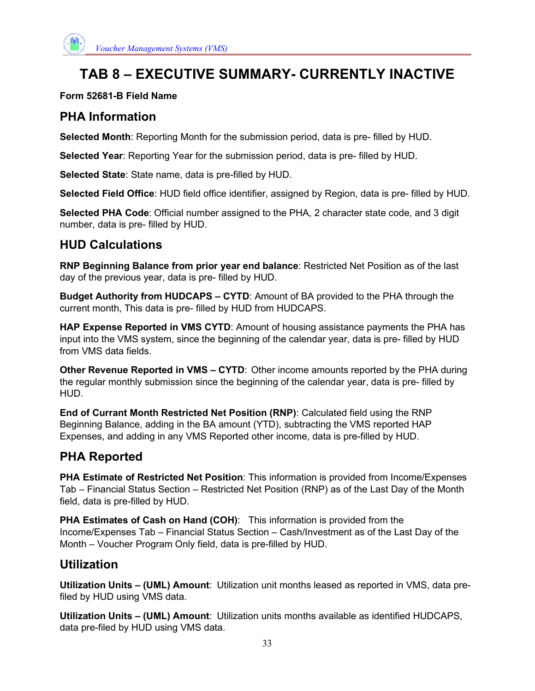

# **TAB 8 – EXECUTIVE SUMMARY- CURRENTLY INACTIVE**

#### **Form 52681-B Field Name**

## **PHA Information**

**Selected Month**: Reporting Month for the submission period, data is pre- filled by HUD.

**Selected Year**: Reporting Year for the submission period, data is pre- filled by HUD.

**Selected State**: State name, data is pre-filled by HUD.

**Selected Field Office**: HUD field office identifier, assigned by Region, data is pre- filled by HUD.

**Selected PHA Code**: Official number assigned to the PHA, 2 character state code, and 3 digit number, data is pre- filled by HUD.

## **HUD Calculations**

**RNP Beginning Balance from prior year end balance**: Restricted Net Position as of the last day of the previous year, data is pre- filled by HUD.

**Budget Authority from HUDCAPS – CYTD**: Amount of BA provided to the PHA through the current month, This data is pre- filled by HUD from HUDCAPS.

**HAP Expense Reported in VMS CYTD**: Amount of housing assistance payments the PHA has input into the VMS system, since the beginning of the calendar year, data is pre- filled by HUD from VMS data fields.

**Other Revenue Reported in VMS – CYTD**: Other income amounts reported by the PHA during the regular monthly submission since the beginning of the calendar year, data is pre- filled by HUD.

**End of Currant Month Restricted Net Position (RNP)**: Calculated field using the RNP Beginning Balance, adding in the BA amount (YTD), subtracting the VMS reported HAP Expenses, and adding in any VMS Reported other income, data is pre-filled by HUD.

## **PHA Reported**

**PHA Estimate of Restricted Net Position**: This information is provided from Income/Expenses Tab – Financial Status Section – Restricted Net Position (RNP) as of the Last Day of the Month field, data is pre-filled by HUD.

**PHA Estimates of Cash on Hand (COH)**: This information is provided from the Income/Expenses Tab – Financial Status Section – Cash/Investment as of the Last Day of the Month – Voucher Program Only field, data is pre-filled by HUD.

## **Utilization**

**Utilization Units – (UML) Amount**: Utilization unit months leased as reported in VMS, data prefiled by HUD using VMS data.

**Utilization Units – (UML) Amount**: Utilization units months available as identified HUDCAPS, data pre-filed by HUD using VMS data.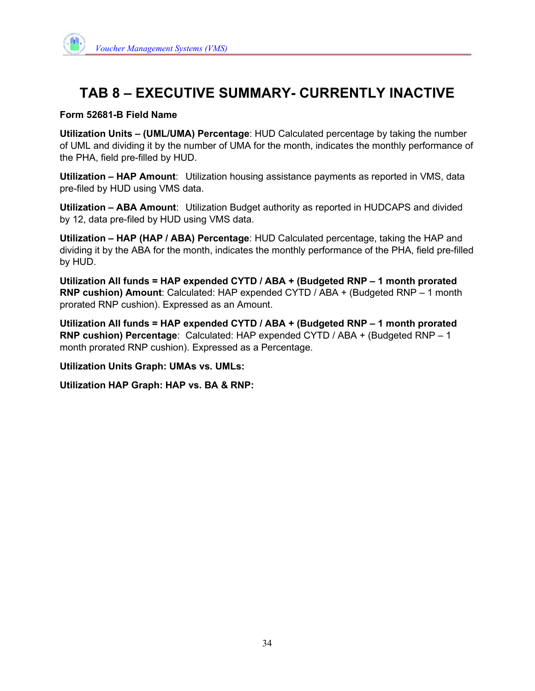

# **TAB 8 – EXECUTIVE SUMMARY- CURRENTLY INACTIVE**

#### **Form 52681-B Field Name**

**Utilization Units – (UML/UMA) Percentage**: HUD Calculated percentage by taking the number of UML and dividing it by the number of UMA for the month, indicates the monthly performance of the PHA, field pre-filled by HUD.

**Utilization – HAP Amount**: Utilization housing assistance payments as reported in VMS, data pre-filed by HUD using VMS data.

**Utilization – ABA Amount**: Utilization Budget authority as reported in HUDCAPS and divided by 12, data pre-filed by HUD using VMS data.

**Utilization – HAP (HAP / ABA) Percentage**: HUD Calculated percentage, taking the HAP and dividing it by the ABA for the month, indicates the monthly performance of the PHA, field pre-filled by HUD.

**Utilization All funds = HAP expended CYTD / ABA + (Budgeted RNP – 1 month prorated RNP cushion) Amount**: Calculated: HAP expended CYTD / ABA + (Budgeted RNP – 1 month prorated RNP cushion). Expressed as an Amount.

**Utilization All funds = HAP expended CYTD / ABA + (Budgeted RNP – 1 month prorated RNP cushion) Percentage**: Calculated: HAP expended CYTD / ABA + (Budgeted RNP – 1 month prorated RNP cushion). Expressed as a Percentage.

**Utilization Units Graph: UMAs vs. UMLs:** 

**Utilization HAP Graph: HAP vs. BA & RNP:**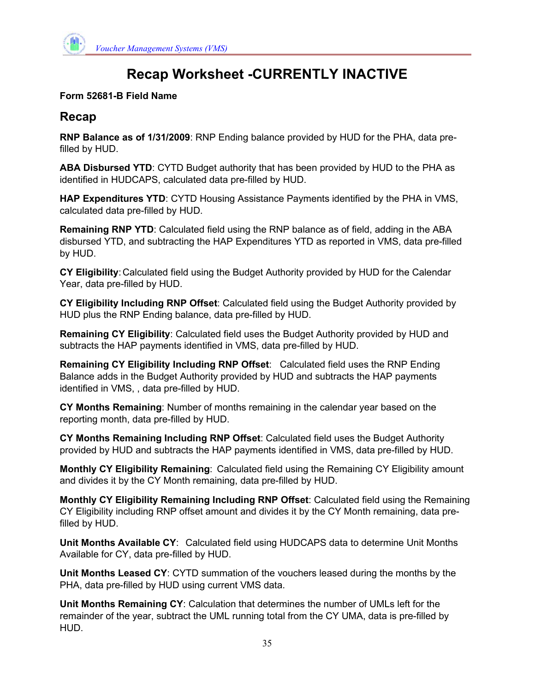

# **Recap Worksheet -CURRENTLY INACTIVE**

#### **Form 52681-B Field Name**

## **Recap**

**RNP Balance as of 1/31/2009**: RNP Ending balance provided by HUD for the PHA, data prefilled by HUD.

**ABA Disbursed YTD**: CYTD Budget authority that has been provided by HUD to the PHA as identified in HUDCAPS, calculated data pre-filled by HUD.

**HAP Expenditures YTD**: CYTD Housing Assistance Payments identified by the PHA in VMS, calculated data pre-filled by HUD.

**Remaining RNP YTD**: Calculated field using the RNP balance as of field, adding in the ABA disbursed YTD, and subtracting the HAP Expenditures YTD as reported in VMS, data pre-filled by HUD.

**CY Eligibility**: Calculated field using the Budget Authority provided by HUD for the Calendar Year, data pre-filled by HUD.

**CY Eligibility Including RNP Offset**: Calculated field using the Budget Authority provided by HUD plus the RNP Ending balance, data pre-filled by HUD.

**Remaining CY Eligibility**: Calculated field uses the Budget Authority provided by HUD and subtracts the HAP payments identified in VMS, data pre-filled by HUD.

**Remaining CY Eligibility Including RNP Offset**: Calculated field uses the RNP Ending Balance adds in the Budget Authority provided by HUD and subtracts the HAP payments identified in VMS, , data pre-filled by HUD.

**CY Months Remaining**: Number of months remaining in the calendar year based on the reporting month, data pre-filled by HUD.

**CY Months Remaining Including RNP Offset**: Calculated field uses the Budget Authority provided by HUD and subtracts the HAP payments identified in VMS, data pre-filled by HUD.

**Monthly CY Eligibility Remaining**: Calculated field using the Remaining CY Eligibility amount and divides it by the CY Month remaining, data pre-filled by HUD.

**Monthly CY Eligibility Remaining Including RNP Offset**: Calculated field using the Remaining CY Eligibility including RNP offset amount and divides it by the CY Month remaining, data prefilled by HUD.

**Unit Months Available CY**: Calculated field using HUDCAPS data to determine Unit Months Available for CY, data pre-filled by HUD.

**Unit Months Leased CY**: CYTD summation of the vouchers leased during the months by the PHA, data pre-filled by HUD using current VMS data.

**Unit Months Remaining CY**: Calculation that determines the number of UMLs left for the remainder of the year, subtract the UML running total from the CY UMA, data is pre-filled by HUD.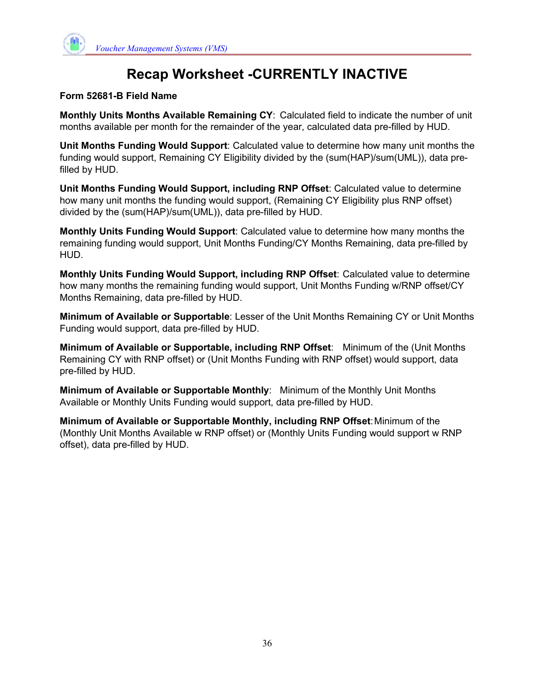

# **Recap Worksheet -CURRENTLY INACTIVE**

#### **Form 52681-B Field Name**

**Monthly Units Months Available Remaining CY**: Calculated field to indicate the number of unit months available per month for the remainder of the year, calculated data pre-filled by HUD.

**Unit Months Funding Would Support**: Calculated value to determine how many unit months the funding would support, Remaining CY Eligibility divided by the (sum(HAP)/sum(UML)), data prefilled by HUD.

**Unit Months Funding Would Support, including RNP Offset**: Calculated value to determine how many unit months the funding would support, (Remaining CY Eligibility plus RNP offset) divided by the (sum(HAP)/sum(UML)), data pre-filled by HUD.

**Monthly Units Funding Would Support**: Calculated value to determine how many months the remaining funding would support, Unit Months Funding/CY Months Remaining, data pre-filled by HUD.

**Monthly Units Funding Would Support, including RNP Offset**: Calculated value to determine how many months the remaining funding would support, Unit Months Funding w/RNP offset/CY Months Remaining, data pre-filled by HUD.

**Minimum of Available or Supportable**: Lesser of the Unit Months Remaining CY or Unit Months Funding would support, data pre-filled by HUD.

**Minimum of Available or Supportable, including RNP Offset**: Minimum of the (Unit Months Remaining CY with RNP offset) or (Unit Months Funding with RNP offset) would support, data pre-filled by HUD.

**Minimum of Available or Supportable Monthly**: Minimum of the Monthly Unit Months Available or Monthly Units Funding would support, data pre-filled by HUD.

**Minimum of Available or Supportable Monthly, including RNP Offset**: Minimum of the (Monthly Unit Months Available w RNP offset) or (Monthly Units Funding would support w RNP offset), data pre-filled by HUD.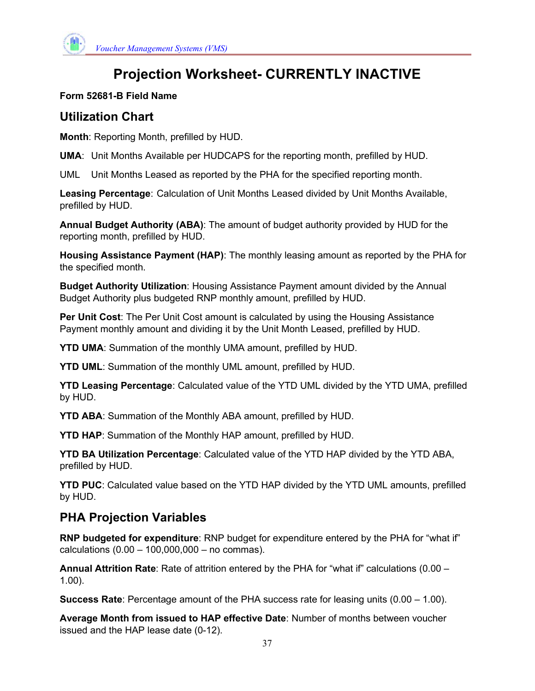

# **Projection Worksheet- CURRENTLY INACTIVE**

## **Form 52681-B Field Name**

## **Utilization Chart**

**Month**: Reporting Month, prefilled by HUD.

**UMA**: Unit Months Available per HUDCAPS for the reporting month, prefilled by HUD.

UML Unit Months Leased as reported by the PHA for the specified reporting month.

**Leasing Percentage**: Calculation of Unit Months Leased divided by Unit Months Available, prefilled by HUD.

**Annual Budget Authority (ABA)**: The amount of budget authority provided by HUD for the reporting month, prefilled by HUD.

**Housing Assistance Payment (HAP)**: The monthly leasing amount as reported by the PHA for the specified month.

**Budget Authority Utilization**: Housing Assistance Payment amount divided by the Annual Budget Authority plus budgeted RNP monthly amount, prefilled by HUD.

**Per Unit Cost**: The Per Unit Cost amount is calculated by using the Housing Assistance Payment monthly amount and dividing it by the Unit Month Leased, prefilled by HUD.

**YTD UMA**: Summation of the monthly UMA amount, prefilled by HUD.

**YTD UML**: Summation of the monthly UML amount, prefilled by HUD.

**YTD Leasing Percentage**: Calculated value of the YTD UML divided by the YTD UMA, prefilled by HUD.

**YTD ABA**: Summation of the Monthly ABA amount, prefilled by HUD.

**YTD HAP**: Summation of the Monthly HAP amount, prefilled by HUD.

**YTD BA Utilization Percentage**: Calculated value of the YTD HAP divided by the YTD ABA, prefilled by HUD.

**YTD PUC**: Calculated value based on the YTD HAP divided by the YTD UML amounts, prefilled by HUD.

## **PHA Projection Variables**

**RNP budgeted for expenditure**: RNP budget for expenditure entered by the PHA for "what if" calculations (0.00 – 100,000,000 – no commas).

**Annual Attrition Rate**: Rate of attrition entered by the PHA for "what if" calculations (0.00 – 1.00).

**Success Rate**: Percentage amount of the PHA success rate for leasing units (0.00 – 1.00).

**Average Month from issued to HAP effective Date**: Number of months between voucher issued and the HAP lease date (0-12).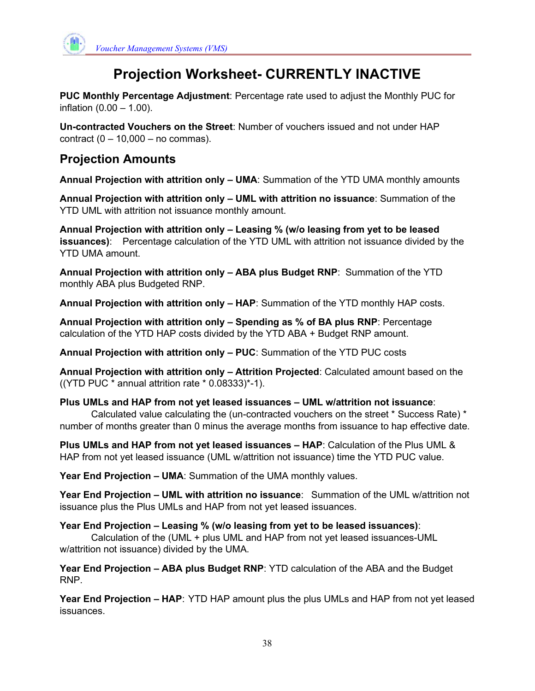

# **Projection Worksheet- CURRENTLY INACTIVE**

**PUC Monthly Percentage Adjustment**: Percentage rate used to adjust the Monthly PUC for inflation (0.00 – 1.00).

**Un-contracted Vouchers on the Street**: Number of vouchers issued and not under HAP contract  $(0 - 10,000 -$  no commas).

## **Projection Amounts**

**Annual Projection with attrition only – UMA**: Summation of the YTD UMA monthly amounts

**Annual Projection with attrition only – UML with attrition no issuance**: Summation of the YTD UML with attrition not issuance monthly amount.

**Annual Projection with attrition only – Leasing % (w/o leasing from yet to be leased issuances)**: Percentage calculation of the YTD UML with attrition not issuance divided by the YTD UMA amount.

**Annual Projection with attrition only – ABA plus Budget RNP**: Summation of the YTD monthly ABA plus Budgeted RNP.

**Annual Projection with attrition only – HAP**: Summation of the YTD monthly HAP costs.

**Annual Projection with attrition only – Spending as % of BA plus RNP**: Percentage calculation of the YTD HAP costs divided by the YTD ABA + Budget RNP amount.

**Annual Projection with attrition only – PUC**: Summation of the YTD PUC costs

**Annual Projection with attrition only – Attrition Projected**: Calculated amount based on the ((YTD PUC  $*$  annual attrition rate  $*$  0.08333) $*$ -1).

**Plus UMLs and HAP from not yet leased issuances – UML w/attrition not issuance**:

Calculated value calculating the (un-contracted vouchers on the street \* Success Rate) \* number of months greater than 0 minus the average months from issuance to hap effective date.

**Plus UMLs and HAP from not yet leased issuances – HAP**: Calculation of the Plus UML & HAP from not yet leased issuance (UML w/attrition not issuance) time the YTD PUC value.

**Year End Projection – UMA**: Summation of the UMA monthly values.

**Year End Projection – UML with attrition no issuance**: Summation of the UML w/attrition not issuance plus the Plus UMLs and HAP from not yet leased issuances.

**Year End Projection – Leasing % (w/o leasing from yet to be leased issuances)**:

Calculation of the (UML + plus UML and HAP from not yet leased issuances-UML w/attrition not issuance) divided by the UMA.

**Year End Projection – ABA plus Budget RNP**: YTD calculation of the ABA and the Budget RNP.

**Year End Projection – HAP**: YTD HAP amount plus the plus UMLs and HAP from not yet leased issuances.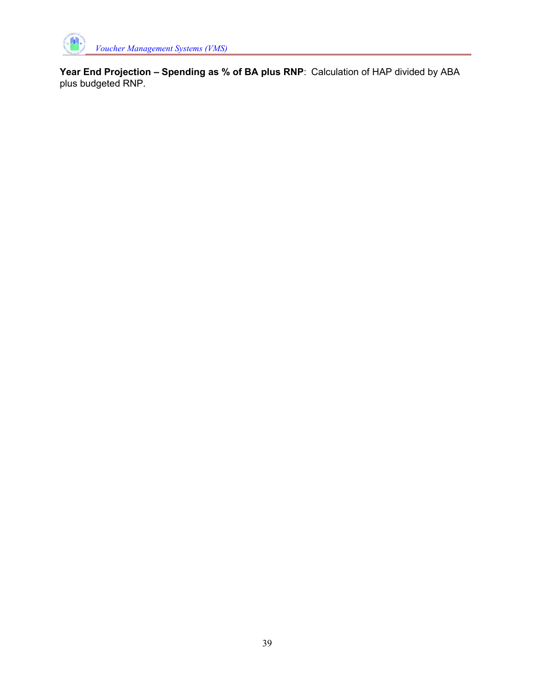

**Year End Projection – Spending as % of BA plus RNP**: Calculation of HAP divided by ABA plus budgeted RNP.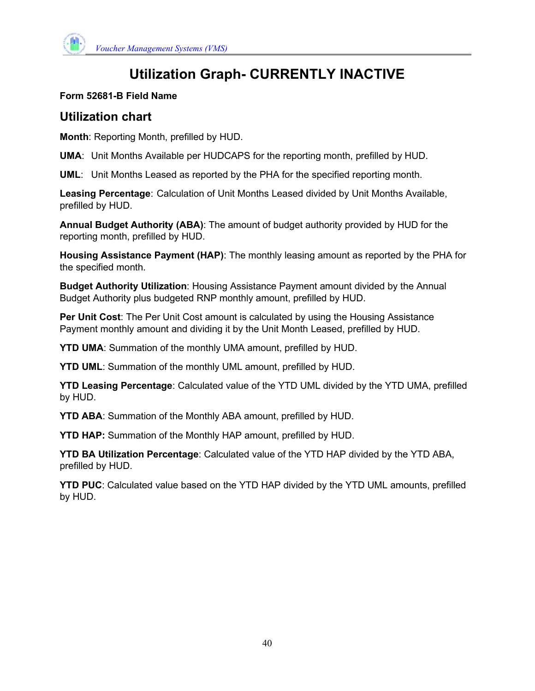

# **Utilization Graph- CURRENTLY INACTIVE**

#### **Form 52681-B Field Name**

## **Utilization chart**

**Month**: Reporting Month, prefilled by HUD.

**UMA**: Unit Months Available per HUDCAPS for the reporting month, prefilled by HUD.

**UML**: Unit Months Leased as reported by the PHA for the specified reporting month.

**Leasing Percentage**: Calculation of Unit Months Leased divided by Unit Months Available, prefilled by HUD.

**Annual Budget Authority (ABA)**: The amount of budget authority provided by HUD for the reporting month, prefilled by HUD.

**Housing Assistance Payment (HAP)**: The monthly leasing amount as reported by the PHA for the specified month.

**Budget Authority Utilization**: Housing Assistance Payment amount divided by the Annual Budget Authority plus budgeted RNP monthly amount, prefilled by HUD.

**Per Unit Cost**: The Per Unit Cost amount is calculated by using the Housing Assistance Payment monthly amount and dividing it by the Unit Month Leased, prefilled by HUD.

**YTD UMA**: Summation of the monthly UMA amount, prefilled by HUD.

**YTD UML**: Summation of the monthly UML amount, prefilled by HUD.

**YTD Leasing Percentage**: Calculated value of the YTD UML divided by the YTD UMA, prefilled by HUD.

**YTD ABA**: Summation of the Monthly ABA amount, prefilled by HUD.

**YTD HAP:** Summation of the Monthly HAP amount, prefilled by HUD.

**YTD BA Utilization Percentage**: Calculated value of the YTD HAP divided by the YTD ABA, prefilled by HUD.

**YTD PUC**: Calculated value based on the YTD HAP divided by the YTD UML amounts, prefilled by HUD.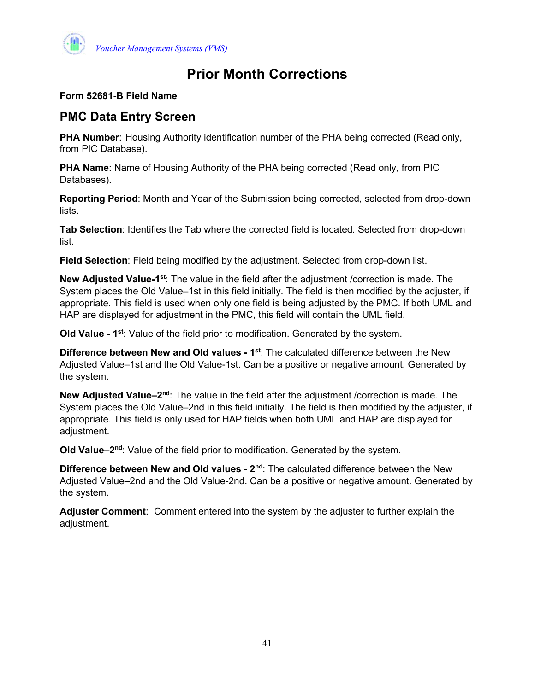

# **Prior Month Corrections**

#### **Form 52681-B Field Name**

## **PMC Data Entry Screen**

**PHA Number:** Housing Authority identification number of the PHA being corrected (Read only, from PIC Database).

**PHA Name**: Name of Housing Authority of the PHA being corrected (Read only, from PIC Databases).

**Reporting Period**: Month and Year of the Submission being corrected, selected from drop-down lists.

**Tab Selection**: Identifies the Tab where the corrected field is located. Selected from drop-down list.

**Field Selection**: Field being modified by the adjustment. Selected from drop-down list.

**New Adjusted Value-1st**: The value in the field after the adjustment /correction is made. The System places the Old Value–1st in this field initially. The field is then modified by the adjuster, if appropriate. This field is used when only one field is being adjusted by the PMC. If both UML and HAP are displayed for adjustment in the PMC, this field will contain the UML field.

**Old Value - 1st**: Value of the field prior to modification. Generated by the system.

**Difference between New and Old values - 1st**: The calculated difference between the New Adjusted Value–1st and the Old Value-1st. Can be a positive or negative amount. Generated by the system.

**New Adjusted Value–2nd**: The value in the field after the adjustment /correction is made. The System places the Old Value–2nd in this field initially. The field is then modified by the adjuster, if appropriate. This field is only used for HAP fields when both UML and HAP are displayed for adjustment.

**Old Value–2nd**: Value of the field prior to modification. Generated by the system.

**Difference between New and Old values - 2<sup>nd</sup>: The calculated difference between the New** Adjusted Value–2nd and the Old Value-2nd. Can be a positive or negative amount. Generated by the system.

**Adjuster Comment**: Comment entered into the system by the adjuster to further explain the adjustment.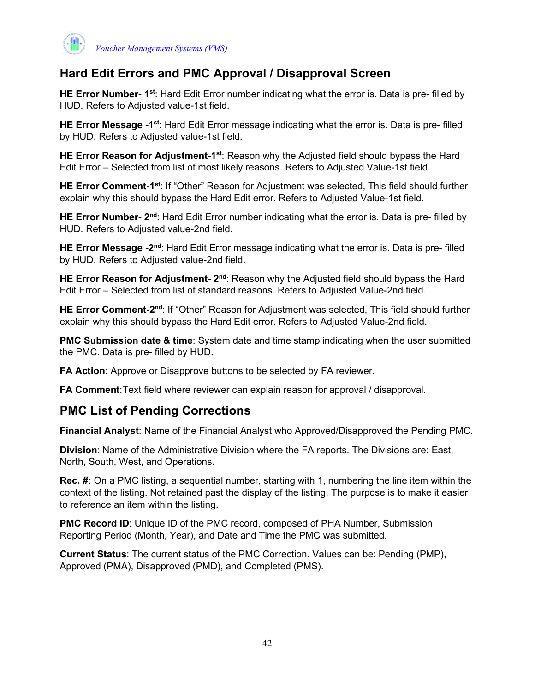

## **Hard Edit Errors and PMC Approval / Disapproval Screen**

**HE Error Number- 1st**: Hard Edit Error number indicating what the error is. Data is pre- filled by HUD. Refers to Adjusted value-1st field.

**HE Error Message -1st**: Hard Edit Error message indicating what the error is. Data is pre- filled by HUD. Refers to Adjusted value-1st field.

**HE Error Reason for Adjustment-1st**: Reason why the Adjusted field should bypass the Hard Edit Error – Selected from list of most likely reasons. Refers to Adjusted Value-1st field.

**HE Error Comment-1st**: If "Other" Reason for Adjustment was selected, This field should further explain why this should bypass the Hard Edit error. Refers to Adjusted Value-1st field.

**HE Error Number- 2nd**: Hard Edit Error number indicating what the error is. Data is pre- filled by HUD. Refers to Adjusted value-2nd field.

**HE Error Message -2nd**: Hard Edit Error message indicating what the error is. Data is pre- filled by HUD. Refers to Adjusted value-2nd field.

**HE Error Reason for Adjustment- 2nd**: Reason why the Adjusted field should bypass the Hard Edit Error – Selected from list of standard reasons. Refers to Adjusted Value-2nd field.

**HE Error Comment-2nd**: If "Other" Reason for Adjustment was selected, This field should further explain why this should bypass the Hard Edit error. Refers to Adjusted Value-2nd field.

**PMC Submission date & time**: System date and time stamp indicating when the user submitted the PMC. Data is pre- filled by HUD.

**FA Action**: Approve or Disapprove buttons to be selected by FA reviewer.

**FA Comment**: Text field where reviewer can explain reason for approval / disapproval.

## **PMC List of Pending Corrections**

**Financial Analyst**: Name of the Financial Analyst who Approved/Disapproved the Pending PMC.

**Division**: Name of the Administrative Division where the FA reports. The Divisions are: East, North, South, West, and Operations.

**Rec. #**: On a PMC listing, a sequential number, starting with 1, numbering the line item within the context of the listing. Not retained past the display of the listing. The purpose is to make it easier to reference an item within the listing.

**PMC Record ID:** Unique ID of the PMC record, composed of PHA Number, Submission Reporting Period (Month, Year), and Date and Time the PMC was submitted.

**Current Status**: The current status of the PMC Correction. Values can be: Pending (PMP), Approved (PMA), Disapproved (PMD), and Completed (PMS).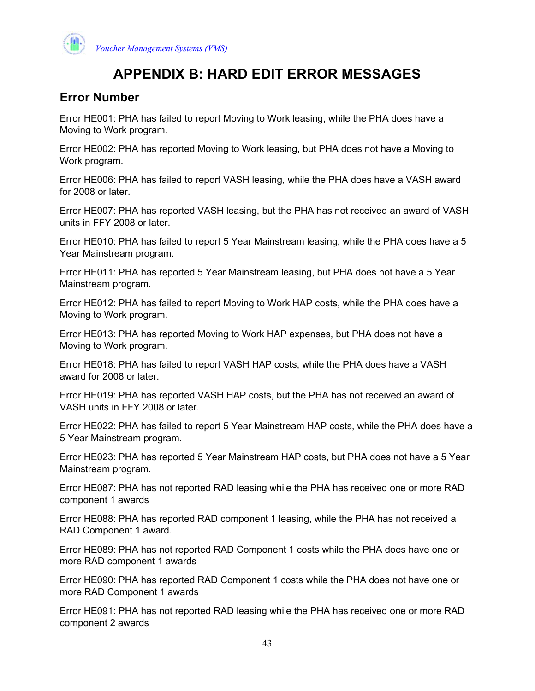

# **APPENDIX B: HARD EDIT ERROR MESSAGES**

## **Error Number**

Error HE001: PHA has failed to report Moving to Work leasing, while the PHA does have a Moving to Work program.

Error HE002: PHA has reported Moving to Work leasing, but PHA does not have a Moving to Work program.

Error HE006: PHA has failed to report VASH leasing, while the PHA does have a VASH award for 2008 or later.

Error HE007: PHA has reported VASH leasing, but the PHA has not received an award of VASH units in FFY 2008 or later.

Error HE010: PHA has failed to report 5 Year Mainstream leasing, while the PHA does have a 5 Year Mainstream program.

Error HE011: PHA has reported 5 Year Mainstream leasing, but PHA does not have a 5 Year Mainstream program.

Error HE012: PHA has failed to report Moving to Work HAP costs, while the PHA does have a Moving to Work program.

Error HE013: PHA has reported Moving to Work HAP expenses, but PHA does not have a Moving to Work program.

Error HE018: PHA has failed to report VASH HAP costs, while the PHA does have a VASH award for 2008 or later.

Error HE019: PHA has reported VASH HAP costs, but the PHA has not received an award of VASH units in FFY 2008 or later.

Error HE022: PHA has failed to report 5 Year Mainstream HAP costs, while the PHA does have a 5 Year Mainstream program.

Error HE023: PHA has reported 5 Year Mainstream HAP costs, but PHA does not have a 5 Year Mainstream program.

Error HE087: PHA has not reported RAD leasing while the PHA has received one or more RAD component 1 awards

Error HE088: PHA has reported RAD component 1 leasing, while the PHA has not received a RAD Component 1 award.

Error HE089: PHA has not reported RAD Component 1 costs while the PHA does have one or more RAD component 1 awards

Error HE090: PHA has reported RAD Component 1 costs while the PHA does not have one or more RAD Component 1 awards

Error HE091: PHA has not reported RAD leasing while the PHA has received one or more RAD component 2 awards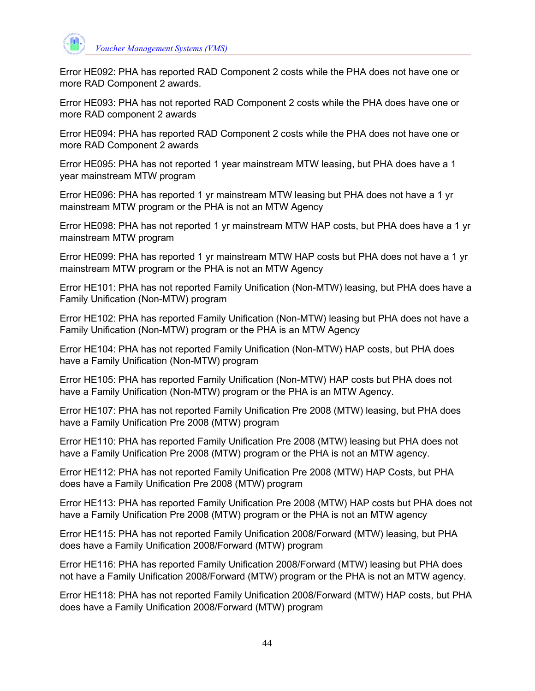

Error HE092: PHA has reported RAD Component 2 costs while the PHA does not have one or more RAD Component 2 awards.

Error HE093: PHA has not reported RAD Component 2 costs while the PHA does have one or more RAD component 2 awards

Error HE094: PHA has reported RAD Component 2 costs while the PHA does not have one or more RAD Component 2 awards

Error HE095: PHA has not reported 1 year mainstream MTW leasing, but PHA does have a 1 year mainstream MTW program

Error HE096: PHA has reported 1 yr mainstream MTW leasing but PHA does not have a 1 yr mainstream MTW program or the PHA is not an MTW Agency

Error HE098: PHA has not reported 1 yr mainstream MTW HAP costs, but PHA does have a 1 yr mainstream MTW program

Error HE099: PHA has reported 1 yr mainstream MTW HAP costs but PHA does not have a 1 yr mainstream MTW program or the PHA is not an MTW Agency

Error HE101: PHA has not reported Family Unification (Non-MTW) leasing, but PHA does have a Family Unification (Non-MTW) program

Error HE102: PHA has reported Family Unification (Non-MTW) leasing but PHA does not have a Family Unification (Non-MTW) program or the PHA is an MTW Agency

Error HE104: PHA has not reported Family Unification (Non-MTW) HAP costs, but PHA does have a Family Unification (Non-MTW) program

Error HE105: PHA has reported Family Unification (Non-MTW) HAP costs but PHA does not have a Family Unification (Non-MTW) program or the PHA is an MTW Agency.

Error HE107: PHA has not reported Family Unification Pre 2008 (MTW) leasing, but PHA does have a Family Unification Pre 2008 (MTW) program

Error HE110: PHA has reported Family Unification Pre 2008 (MTW) leasing but PHA does not have a Family Unification Pre 2008 (MTW) program or the PHA is not an MTW agency.

Error HE112: PHA has not reported Family Unification Pre 2008 (MTW) HAP Costs, but PHA does have a Family Unification Pre 2008 (MTW) program

Error HE113: PHA has reported Family Unification Pre 2008 (MTW) HAP costs but PHA does not have a Family Unification Pre 2008 (MTW) program or the PHA is not an MTW agency

Error HE115: PHA has not reported Family Unification 2008/Forward (MTW) leasing, but PHA does have a Family Unification 2008/Forward (MTW) program

Error HE116: PHA has reported Family Unification 2008/Forward (MTW) leasing but PHA does not have a Family Unification 2008/Forward (MTW) program or the PHA is not an MTW agency.

Error HE118: PHA has not reported Family Unification 2008/Forward (MTW) HAP costs, but PHA does have a Family Unification 2008/Forward (MTW) program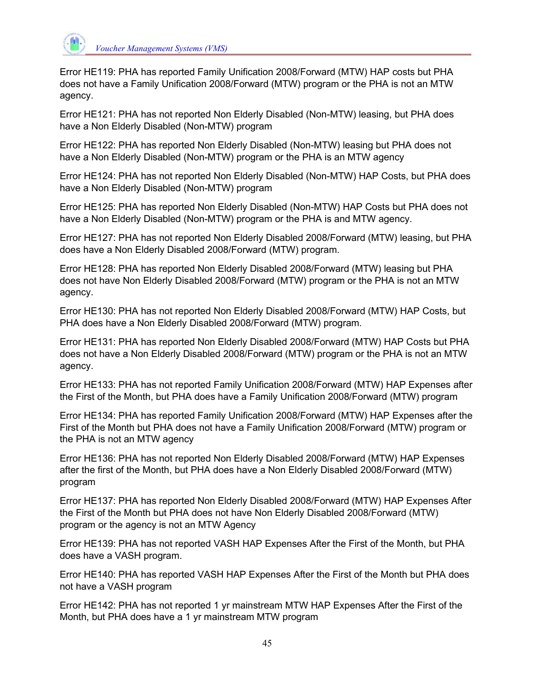

Error HE119: PHA has reported Family Unification 2008/Forward (MTW) HAP costs but PHA does not have a Family Unification 2008/Forward (MTW) program or the PHA is not an MTW agency.

Error HE121: PHA has not reported Non Elderly Disabled (Non-MTW) leasing, but PHA does have a Non Elderly Disabled (Non-MTW) program

Error HE122: PHA has reported Non Elderly Disabled (Non-MTW) leasing but PHA does not have a Non Elderly Disabled (Non-MTW) program or the PHA is an MTW agency

Error HE124: PHA has not reported Non Elderly Disabled (Non-MTW) HAP Costs, but PHA does have a Non Elderly Disabled (Non-MTW) program

Error HE125: PHA has reported Non Elderly Disabled (Non-MTW) HAP Costs but PHA does not have a Non Elderly Disabled (Non-MTW) program or the PHA is and MTW agency.

Error HE127: PHA has not reported Non Elderly Disabled 2008/Forward (MTW) leasing, but PHA does have a Non Elderly Disabled 2008/Forward (MTW) program.

Error HE128: PHA has reported Non Elderly Disabled 2008/Forward (MTW) leasing but PHA does not have Non Elderly Disabled 2008/Forward (MTW) program or the PHA is not an MTW agency.

Error HE130: PHA has not reported Non Elderly Disabled 2008/Forward (MTW) HAP Costs, but PHA does have a Non Elderly Disabled 2008/Forward (MTW) program.

Error HE131: PHA has reported Non Elderly Disabled 2008/Forward (MTW) HAP Costs but PHA does not have a Non Elderly Disabled 2008/Forward (MTW) program or the PHA is not an MTW agency.

Error HE133: PHA has not reported Family Unification 2008/Forward (MTW) HAP Expenses after the First of the Month, but PHA does have a Family Unification 2008/Forward (MTW) program

Error HE134: PHA has reported Family Unification 2008/Forward (MTW) HAP Expenses after the First of the Month but PHA does not have a Family Unification 2008/Forward (MTW) program or the PHA is not an MTW agency

Error HE136: PHA has not reported Non Elderly Disabled 2008/Forward (MTW) HAP Expenses after the first of the Month, but PHA does have a Non Elderly Disabled 2008/Forward (MTW) program

Error HE137: PHA has reported Non Elderly Disabled 2008/Forward (MTW) HAP Expenses After the First of the Month but PHA does not have Non Elderly Disabled 2008/Forward (MTW) program or the agency is not an MTW Agency

Error HE139: PHA has not reported VASH HAP Expenses After the First of the Month, but PHA does have a VASH program.

Error HE140: PHA has reported VASH HAP Expenses After the First of the Month but PHA does not have a VASH program

Error HE142: PHA has not reported 1 yr mainstream MTW HAP Expenses After the First of the Month, but PHA does have a 1 yr mainstream MTW program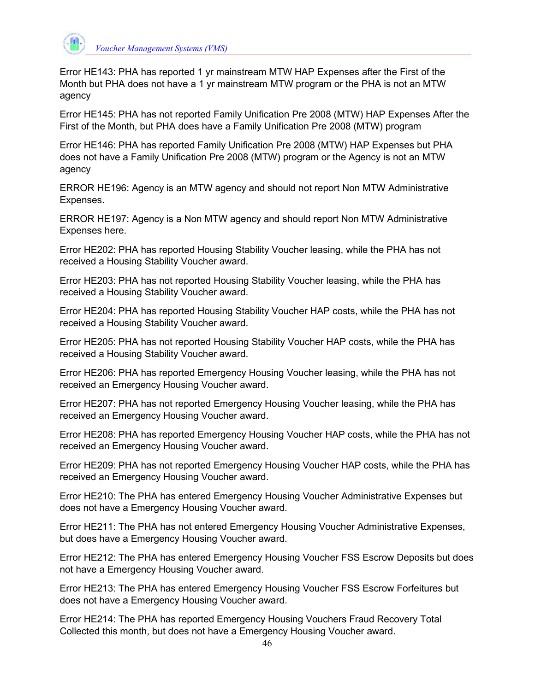

Error HE143: PHA has reported 1 yr mainstream MTW HAP Expenses after the First of the Month but PHA does not have a 1 yr mainstream MTW program or the PHA is not an MTW agency

Error HE145: PHA has not reported Family Unification Pre 2008 (MTW) HAP Expenses After the First of the Month, but PHA does have a Family Unification Pre 2008 (MTW) program

Error HE146: PHA has reported Family Unification Pre 2008 (MTW) HAP Expenses but PHA does not have a Family Unification Pre 2008 (MTW) program or the Agency is not an MTW agency

ERROR HE196: Agency is an MTW agency and should not report Non MTW Administrative Expenses.

ERROR HE197: Agency is a Non MTW agency and should report Non MTW Administrative Expenses here.

Error HE202: PHA has reported Housing Stability Voucher leasing, while the PHA has not received a Housing Stability Voucher award.

Error HE203: PHA has not reported Housing Stability Voucher leasing, while the PHA has received a Housing Stability Voucher award.

Error HE204: PHA has reported Housing Stability Voucher HAP costs, while the PHA has not received a Housing Stability Voucher award.

Error HE205: PHA has not reported Housing Stability Voucher HAP costs, while the PHA has received a Housing Stability Voucher award.

Error HE206: PHA has reported Emergency Housing Voucher leasing, while the PHA has not received an Emergency Housing Voucher award.

Error HE207: PHA has not reported Emergency Housing Voucher leasing, while the PHA has received an Emergency Housing Voucher award.

Error HE208: PHA has reported Emergency Housing Voucher HAP costs, while the PHA has not received an Emergency Housing Voucher award.

Error HE209: PHA has not reported Emergency Housing Voucher HAP costs, while the PHA has received an Emergency Housing Voucher award.

Error HE210: The PHA has entered Emergency Housing Voucher Administrative Expenses but does not have a Emergency Housing Voucher award.

Error HE211: The PHA has not entered Emergency Housing Voucher Administrative Expenses, but does have a Emergency Housing Voucher award.

Error HE212: The PHA has entered Emergency Housing Voucher FSS Escrow Deposits but does not have a Emergency Housing Voucher award.

Error HE213: The PHA has entered Emergency Housing Voucher FSS Escrow Forfeitures but does not have a Emergency Housing Voucher award.

Error HE214: The PHA has reported Emergency Housing Vouchers Fraud Recovery Total Collected this month, but does not have a Emergency Housing Voucher award.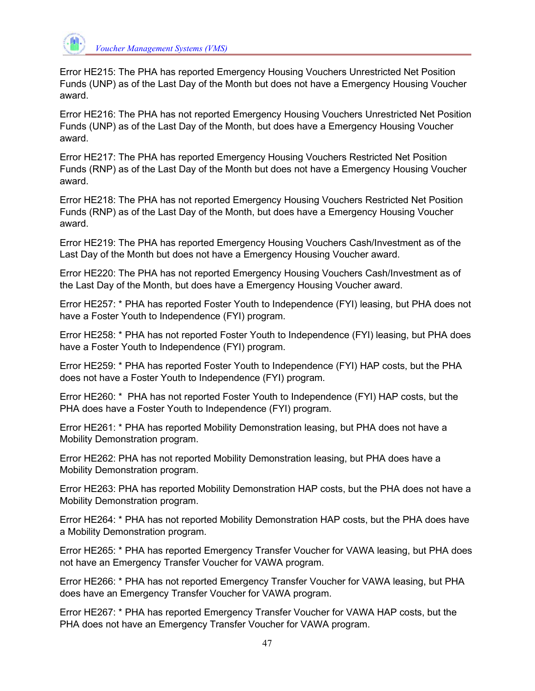

Error HE215: The PHA has reported Emergency Housing Vouchers Unrestricted Net Position Funds (UNP) as of the Last Day of the Month but does not have a Emergency Housing Voucher award.

Error HE216: The PHA has not reported Emergency Housing Vouchers Unrestricted Net Position Funds (UNP) as of the Last Day of the Month, but does have a Emergency Housing Voucher award.

Error HE217: The PHA has reported Emergency Housing Vouchers Restricted Net Position Funds (RNP) as of the Last Day of the Month but does not have a Emergency Housing Voucher award.

Error HE218: The PHA has not reported Emergency Housing Vouchers Restricted Net Position Funds (RNP) as of the Last Day of the Month, but does have a Emergency Housing Voucher award.

Error HE219: The PHA has reported Emergency Housing Vouchers Cash/Investment as of the Last Day of the Month but does not have a Emergency Housing Voucher award.

Error HE220: The PHA has not reported Emergency Housing Vouchers Cash/Investment as of the Last Day of the Month, but does have a Emergency Housing Voucher award.

Error HE257: \* PHA has reported Foster Youth to Independence (FYI) leasing, but PHA does not have a Foster Youth to Independence (FYI) program.

Error HE258: \* PHA has not reported Foster Youth to Independence (FYI) leasing, but PHA does have a Foster Youth to Independence (FYI) program.

Error HE259: \* PHA has reported Foster Youth to Independence (FYI) HAP costs, but the PHA does not have a Foster Youth to Independence (FYI) program.

Error HE260: \* PHA has not reported Foster Youth to Independence (FYI) HAP costs, but the PHA does have a Foster Youth to Independence (FYI) program.

Error HE261: \* PHA has reported Mobility Demonstration leasing, but PHA does not have a Mobility Demonstration program.

Error HE262: PHA has not reported Mobility Demonstration leasing, but PHA does have a Mobility Demonstration program.

Error HE263: PHA has reported Mobility Demonstration HAP costs, but the PHA does not have a Mobility Demonstration program.

Error HE264: \* PHA has not reported Mobility Demonstration HAP costs, but the PHA does have a Mobility Demonstration program.

Error HE265: \* PHA has reported Emergency Transfer Voucher for VAWA leasing, but PHA does not have an Emergency Transfer Voucher for VAWA program.

Error HE266: \* PHA has not reported Emergency Transfer Voucher for VAWA leasing, but PHA does have an Emergency Transfer Voucher for VAWA program.

Error HE267: \* PHA has reported Emergency Transfer Voucher for VAWA HAP costs, but the PHA does not have an Emergency Transfer Voucher for VAWA program.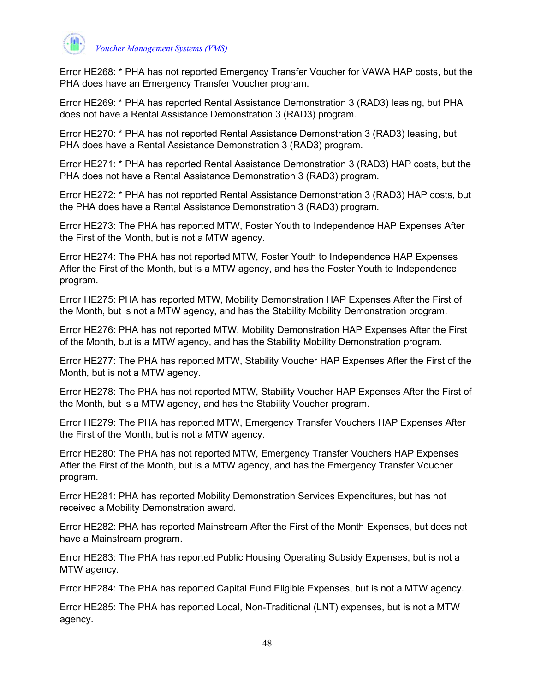

Error HE268: \* PHA has not reported Emergency Transfer Voucher for VAWA HAP costs, but the PHA does have an Emergency Transfer Voucher program.

Error HE269: \* PHA has reported Rental Assistance Demonstration 3 (RAD3) leasing, but PHA does not have a Rental Assistance Demonstration 3 (RAD3) program.

Error HE270: \* PHA has not reported Rental Assistance Demonstration 3 (RAD3) leasing, but PHA does have a Rental Assistance Demonstration 3 (RAD3) program.

Error HE271: \* PHA has reported Rental Assistance Demonstration 3 (RAD3) HAP costs, but the PHA does not have a Rental Assistance Demonstration 3 (RAD3) program.

Error HE272: \* PHA has not reported Rental Assistance Demonstration 3 (RAD3) HAP costs, but the PHA does have a Rental Assistance Demonstration 3 (RAD3) program.

Error HE273: The PHA has reported MTW, Foster Youth to Independence HAP Expenses After the First of the Month, but is not a MTW agency.

Error HE274: The PHA has not reported MTW, Foster Youth to Independence HAP Expenses After the First of the Month, but is a MTW agency, and has the Foster Youth to Independence program.

Error HE275: PHA has reported MTW, Mobility Demonstration HAP Expenses After the First of the Month, but is not a MTW agency, and has the Stability Mobility Demonstration program.

Error HE276: PHA has not reported MTW, Mobility Demonstration HAP Expenses After the First of the Month, but is a MTW agency, and has the Stability Mobility Demonstration program.

Error HE277: The PHA has reported MTW, Stability Voucher HAP Expenses After the First of the Month, but is not a MTW agency.

Error HE278: The PHA has not reported MTW, Stability Voucher HAP Expenses After the First of the Month, but is a MTW agency, and has the Stability Voucher program.

Error HE279: The PHA has reported MTW, Emergency Transfer Vouchers HAP Expenses After the First of the Month, but is not a MTW agency.

Error HE280: The PHA has not reported MTW, Emergency Transfer Vouchers HAP Expenses After the First of the Month, but is a MTW agency, and has the Emergency Transfer Voucher program.

Error HE281: PHA has reported Mobility Demonstration Services Expenditures, but has not received a Mobility Demonstration award.

Error HE282: PHA has reported Mainstream After the First of the Month Expenses, but does not have a Mainstream program.

Error HE283: The PHA has reported Public Housing Operating Subsidy Expenses, but is not a MTW agency.

Error HE284: The PHA has reported Capital Fund Eligible Expenses, but is not a MTW agency.

Error HE285: The PHA has reported Local, Non-Traditional (LNT) expenses, but is not a MTW agency.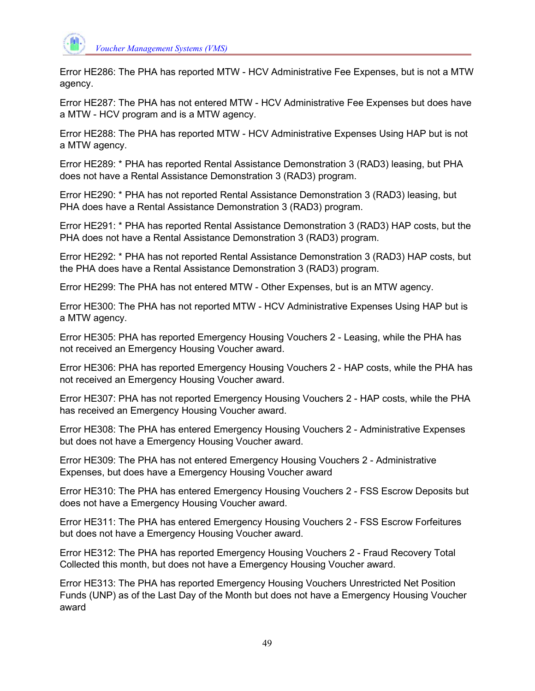

Error HE286: The PHA has reported MTW - HCV Administrative Fee Expenses, but is not a MTW agency.

Error HE287: The PHA has not entered MTW - HCV Administrative Fee Expenses but does have a MTW - HCV program and is a MTW agency.

Error HE288: The PHA has reported MTW - HCV Administrative Expenses Using HAP but is not a MTW agency.

Error HE289: \* PHA has reported Rental Assistance Demonstration 3 (RAD3) leasing, but PHA does not have a Rental Assistance Demonstration 3 (RAD3) program.

Error HE290: \* PHA has not reported Rental Assistance Demonstration 3 (RAD3) leasing, but PHA does have a Rental Assistance Demonstration 3 (RAD3) program.

Error HE291: \* PHA has reported Rental Assistance Demonstration 3 (RAD3) HAP costs, but the PHA does not have a Rental Assistance Demonstration 3 (RAD3) program.

Error HE292: \* PHA has not reported Rental Assistance Demonstration 3 (RAD3) HAP costs, but the PHA does have a Rental Assistance Demonstration 3 (RAD3) program.

Error HE299: The PHA has not entered MTW - Other Expenses, but is an MTW agency.

Error HE300: The PHA has not reported MTW - HCV Administrative Expenses Using HAP but is a MTW agency.

Error HE305: PHA has reported Emergency Housing Vouchers 2 - Leasing, while the PHA has not received an Emergency Housing Voucher award.

Error HE306: PHA has reported Emergency Housing Vouchers 2 - HAP costs, while the PHA has not received an Emergency Housing Voucher award.

Error HE307: PHA has not reported Emergency Housing Vouchers 2 - HAP costs, while the PHA has received an Emergency Housing Voucher award.

Error HE308: The PHA has entered Emergency Housing Vouchers 2 - Administrative Expenses but does not have a Emergency Housing Voucher award.

Error HE309: The PHA has not entered Emergency Housing Vouchers 2 - Administrative Expenses, but does have a Emergency Housing Voucher award

Error HE310: The PHA has entered Emergency Housing Vouchers 2 - FSS Escrow Deposits but does not have a Emergency Housing Voucher award.

Error HE311: The PHA has entered Emergency Housing Vouchers 2 - FSS Escrow Forfeitures but does not have a Emergency Housing Voucher award.

Error HE312: The PHA has reported Emergency Housing Vouchers 2 - Fraud Recovery Total Collected this month, but does not have a Emergency Housing Voucher award.

Error HE313: The PHA has reported Emergency Housing Vouchers Unrestricted Net Position Funds (UNP) as of the Last Day of the Month but does not have a Emergency Housing Voucher award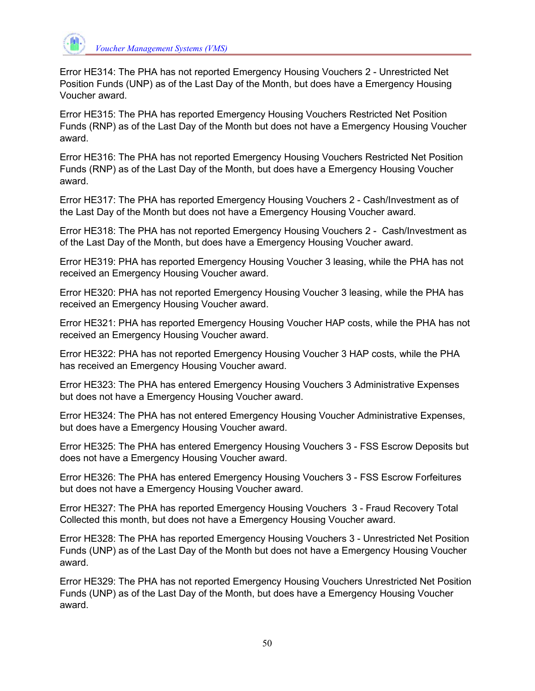

Error HE314: The PHA has not reported Emergency Housing Vouchers 2 - Unrestricted Net Position Funds (UNP) as of the Last Day of the Month, but does have a Emergency Housing Voucher award.

Error HE315: The PHA has reported Emergency Housing Vouchers Restricted Net Position Funds (RNP) as of the Last Day of the Month but does not have a Emergency Housing Voucher award.

Error HE316: The PHA has not reported Emergency Housing Vouchers Restricted Net Position Funds (RNP) as of the Last Day of the Month, but does have a Emergency Housing Voucher award.

Error HE317: The PHA has reported Emergency Housing Vouchers 2 - Cash/Investment as of the Last Day of the Month but does not have a Emergency Housing Voucher award.

Error HE318: The PHA has not reported Emergency Housing Vouchers 2 - Cash/Investment as of the Last Day of the Month, but does have a Emergency Housing Voucher award.

Error HE319: PHA has reported Emergency Housing Voucher 3 leasing, while the PHA has not received an Emergency Housing Voucher award.

Error HE320: PHA has not reported Emergency Housing Voucher 3 leasing, while the PHA has received an Emergency Housing Voucher award.

Error HE321: PHA has reported Emergency Housing Voucher HAP costs, while the PHA has not received an Emergency Housing Voucher award.

Error HE322: PHA has not reported Emergency Housing Voucher 3 HAP costs, while the PHA has received an Emergency Housing Voucher award.

Error HE323: The PHA has entered Emergency Housing Vouchers 3 Administrative Expenses but does not have a Emergency Housing Voucher award.

Error HE324: The PHA has not entered Emergency Housing Voucher Administrative Expenses, but does have a Emergency Housing Voucher award.

Error HE325: The PHA has entered Emergency Housing Vouchers 3 - FSS Escrow Deposits but does not have a Emergency Housing Voucher award.

Error HE326: The PHA has entered Emergency Housing Vouchers 3 - FSS Escrow Forfeitures but does not have a Emergency Housing Voucher award.

Error HE327: The PHA has reported Emergency Housing Vouchers 3 - Fraud Recovery Total Collected this month, but does not have a Emergency Housing Voucher award.

Error HE328: The PHA has reported Emergency Housing Vouchers 3 - Unrestricted Net Position Funds (UNP) as of the Last Day of the Month but does not have a Emergency Housing Voucher award.

Error HE329: The PHA has not reported Emergency Housing Vouchers Unrestricted Net Position Funds (UNP) as of the Last Day of the Month, but does have a Emergency Housing Voucher award.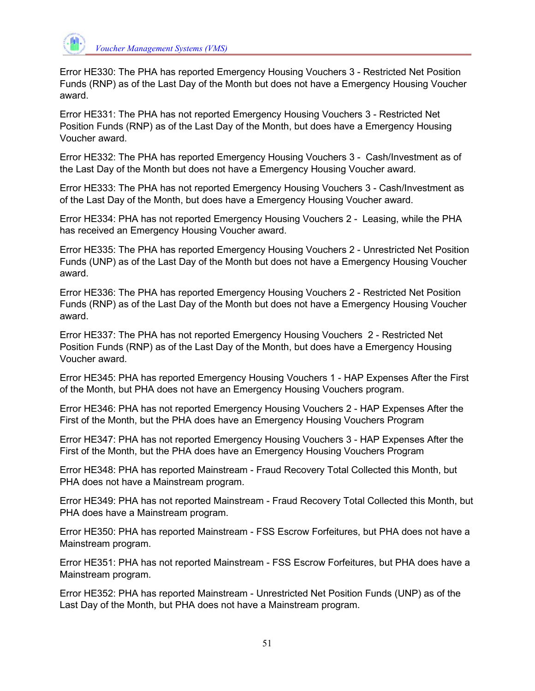

Error HE330: The PHA has reported Emergency Housing Vouchers 3 - Restricted Net Position Funds (RNP) as of the Last Day of the Month but does not have a Emergency Housing Voucher award.

Error HE331: The PHA has not reported Emergency Housing Vouchers 3 - Restricted Net Position Funds (RNP) as of the Last Day of the Month, but does have a Emergency Housing Voucher award.

Error HE332: The PHA has reported Emergency Housing Vouchers 3 - Cash/Investment as of the Last Day of the Month but does not have a Emergency Housing Voucher award.

Error HE333: The PHA has not reported Emergency Housing Vouchers 3 - Cash/Investment as of the Last Day of the Month, but does have a Emergency Housing Voucher award.

Error HE334: PHA has not reported Emergency Housing Vouchers 2 - Leasing, while the PHA has received an Emergency Housing Voucher award.

Error HE335: The PHA has reported Emergency Housing Vouchers 2 - Unrestricted Net Position Funds (UNP) as of the Last Day of the Month but does not have a Emergency Housing Voucher award.

Error HE336: The PHA has reported Emergency Housing Vouchers 2 - Restricted Net Position Funds (RNP) as of the Last Day of the Month but does not have a Emergency Housing Voucher award.

Error HE337: The PHA has not reported Emergency Housing Vouchers 2 - Restricted Net Position Funds (RNP) as of the Last Day of the Month, but does have a Emergency Housing Voucher award.

Error HE345: PHA has reported Emergency Housing Vouchers 1 - HAP Expenses After the First of the Month, but PHA does not have an Emergency Housing Vouchers program.

Error HE346: PHA has not reported Emergency Housing Vouchers 2 - HAP Expenses After the First of the Month, but the PHA does have an Emergency Housing Vouchers Program

Error HE347: PHA has not reported Emergency Housing Vouchers 3 - HAP Expenses After the First of the Month, but the PHA does have an Emergency Housing Vouchers Program

Error HE348: PHA has reported Mainstream - Fraud Recovery Total Collected this Month, but PHA does not have a Mainstream program.

Error HE349: PHA has not reported Mainstream - Fraud Recovery Total Collected this Month, but PHA does have a Mainstream program.

Error HE350: PHA has reported Mainstream - FSS Escrow Forfeitures, but PHA does not have a Mainstream program.

Error HE351: PHA has not reported Mainstream - FSS Escrow Forfeitures, but PHA does have a Mainstream program.

Error HE352: PHA has reported Mainstream - Unrestricted Net Position Funds (UNP) as of the Last Day of the Month, but PHA does not have a Mainstream program.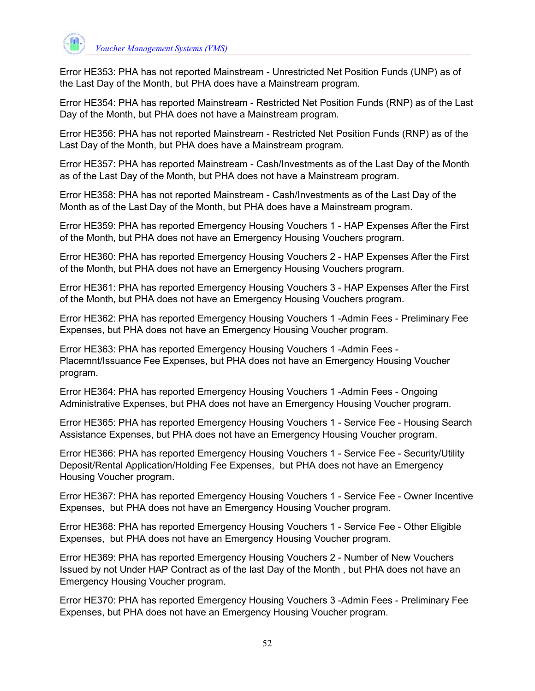

Error HE353: PHA has not reported Mainstream - Unrestricted Net Position Funds (UNP) as of the Last Day of the Month, but PHA does have a Mainstream program.

Error HE354: PHA has reported Mainstream - Restricted Net Position Funds (RNP) as of the Last Day of the Month, but PHA does not have a Mainstream program.

Error HE356: PHA has not reported Mainstream - Restricted Net Position Funds (RNP) as of the Last Day of the Month, but PHA does have a Mainstream program.

Error HE357: PHA has reported Mainstream - Cash/Investments as of the Last Day of the Month as of the Last Day of the Month, but PHA does not have a Mainstream program.

Error HE358: PHA has not reported Mainstream - Cash/Investments as of the Last Day of the Month as of the Last Day of the Month, but PHA does have a Mainstream program.

Error HE359: PHA has reported Emergency Housing Vouchers 1 - HAP Expenses After the First of the Month, but PHA does not have an Emergency Housing Vouchers program.

Error HE360: PHA has reported Emergency Housing Vouchers 2 - HAP Expenses After the First of the Month, but PHA does not have an Emergency Housing Vouchers program.

Error HE361: PHA has reported Emergency Housing Vouchers 3 - HAP Expenses After the First of the Month, but PHA does not have an Emergency Housing Vouchers program.

Error HE362: PHA has reported Emergency Housing Vouchers 1 -Admin Fees - Preliminary Fee Expenses, but PHA does not have an Emergency Housing Voucher program.

Error HE363: PHA has reported Emergency Housing Vouchers 1 -Admin Fees - Placemnt/Issuance Fee Expenses, but PHA does not have an Emergency Housing Voucher program.

Error HE364: PHA has reported Emergency Housing Vouchers 1 -Admin Fees - Ongoing Administrative Expenses, but PHA does not have an Emergency Housing Voucher program.

Error HE365: PHA has reported Emergency Housing Vouchers 1 - Service Fee - Housing Search Assistance Expenses, but PHA does not have an Emergency Housing Voucher program.

Error HE366: PHA has reported Emergency Housing Vouchers 1 - Service Fee - Security/Utility Deposit/Rental Application/Holding Fee Expenses, but PHA does not have an Emergency Housing Voucher program.

Error HE367: PHA has reported Emergency Housing Vouchers 1 - Service Fee - Owner Incentive Expenses, but PHA does not have an Emergency Housing Voucher program.

Error HE368: PHA has reported Emergency Housing Vouchers 1 - Service Fee - Other Eligible Expenses, but PHA does not have an Emergency Housing Voucher program.

Error HE369: PHA has reported Emergency Housing Vouchers 2 - Number of New Vouchers Issued by not Under HAP Contract as of the last Day of the Month , but PHA does not have an Emergency Housing Voucher program.

Error HE370: PHA has reported Emergency Housing Vouchers 3 -Admin Fees - Preliminary Fee Expenses, but PHA does not have an Emergency Housing Voucher program.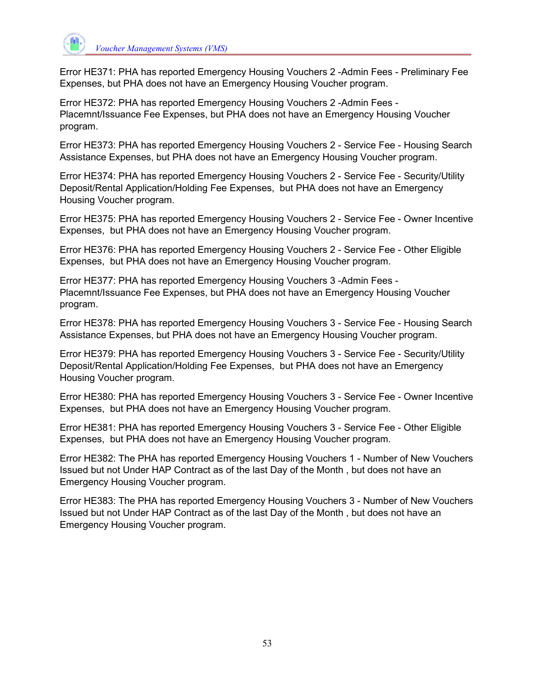

Error HE371: PHA has reported Emergency Housing Vouchers 2 -Admin Fees - Preliminary Fee Expenses, but PHA does not have an Emergency Housing Voucher program.

Error HE372: PHA has reported Emergency Housing Vouchers 2 -Admin Fees - Placemnt/Issuance Fee Expenses, but PHA does not have an Emergency Housing Voucher program.

Error HE373: PHA has reported Emergency Housing Vouchers 2 - Service Fee - Housing Search Assistance Expenses, but PHA does not have an Emergency Housing Voucher program.

Error HE374: PHA has reported Emergency Housing Vouchers 2 - Service Fee - Security/Utility Deposit/Rental Application/Holding Fee Expenses, but PHA does not have an Emergency Housing Voucher program.

Error HE375: PHA has reported Emergency Housing Vouchers 2 - Service Fee - Owner Incentive Expenses, but PHA does not have an Emergency Housing Voucher program.

Error HE376: PHA has reported Emergency Housing Vouchers 2 - Service Fee - Other Eligible Expenses, but PHA does not have an Emergency Housing Voucher program.

Error HE377: PHA has reported Emergency Housing Vouchers 3 -Admin Fees - Placemnt/Issuance Fee Expenses, but PHA does not have an Emergency Housing Voucher program.

Error HE378: PHA has reported Emergency Housing Vouchers 3 - Service Fee - Housing Search Assistance Expenses, but PHA does not have an Emergency Housing Voucher program.

Error HE379: PHA has reported Emergency Housing Vouchers 3 - Service Fee - Security/Utility Deposit/Rental Application/Holding Fee Expenses, but PHA does not have an Emergency Housing Voucher program.

Error HE380: PHA has reported Emergency Housing Vouchers 3 - Service Fee - Owner Incentive Expenses, but PHA does not have an Emergency Housing Voucher program.

Error HE381: PHA has reported Emergency Housing Vouchers 3 - Service Fee - Other Eligible Expenses, but PHA does not have an Emergency Housing Voucher program.

Error HE382: The PHA has reported Emergency Housing Vouchers 1 - Number of New Vouchers Issued but not Under HAP Contract as of the last Day of the Month , but does not have an Emergency Housing Voucher program.

Error HE383: The PHA has reported Emergency Housing Vouchers 3 - Number of New Vouchers Issued but not Under HAP Contract as of the last Day of the Month , but does not have an Emergency Housing Voucher program.